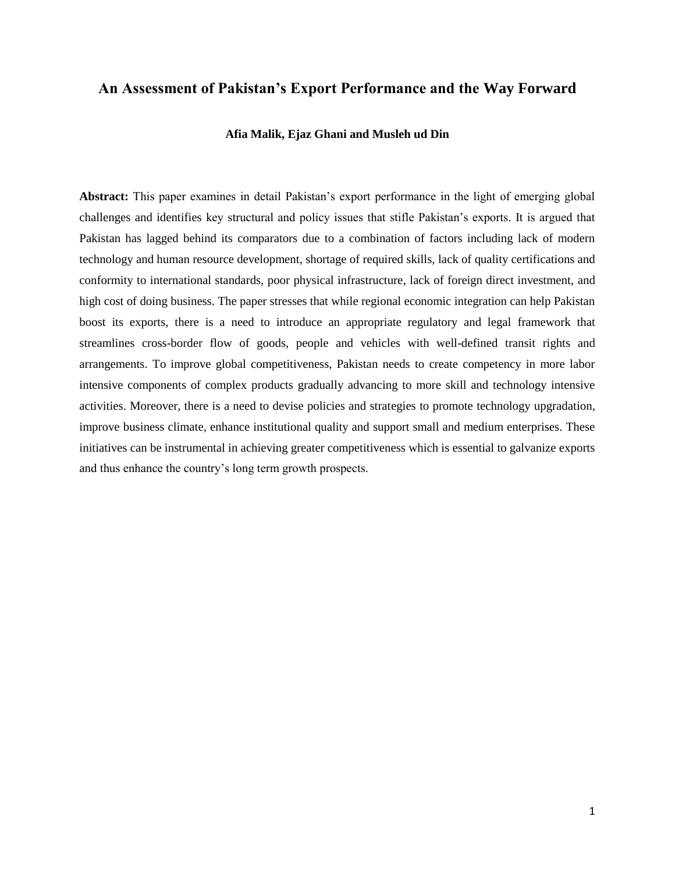# **An Assessment of Pakistan's Export Performance and the Way Forward**

# **Afia Malik, Ejaz Ghani and Musleh ud Din**

**Abstract:** This paper examines in detail Pakistan's export performance in the light of emerging global challenges and identifies key structural and policy issues that stifle Pakistan's exports. It is argued that Pakistan has lagged behind its comparators due to a combination of factors including lack of modern technology and human resource development, shortage of required skills, lack of quality certifications and conformity to international standards, poor physical infrastructure, lack of foreign direct investment, and high cost of doing business. The paper stresses that while regional economic integration can help Pakistan boost its exports, there is a need to introduce an appropriate regulatory and legal framework that streamlines cross-border flow of goods, people and vehicles with well-defined transit rights and arrangements. To improve global competitiveness, Pakistan needs to create competency in more labor intensive components of complex products gradually advancing to more skill and technology intensive activities. Moreover, there is a need to devise policies and strategies to promote technology upgradation, improve business climate, enhance institutional quality and support small and medium enterprises. These initiatives can be instrumental in achieving greater competitiveness which is essential to galvanize exports and thus enhance the country's long term growth prospects.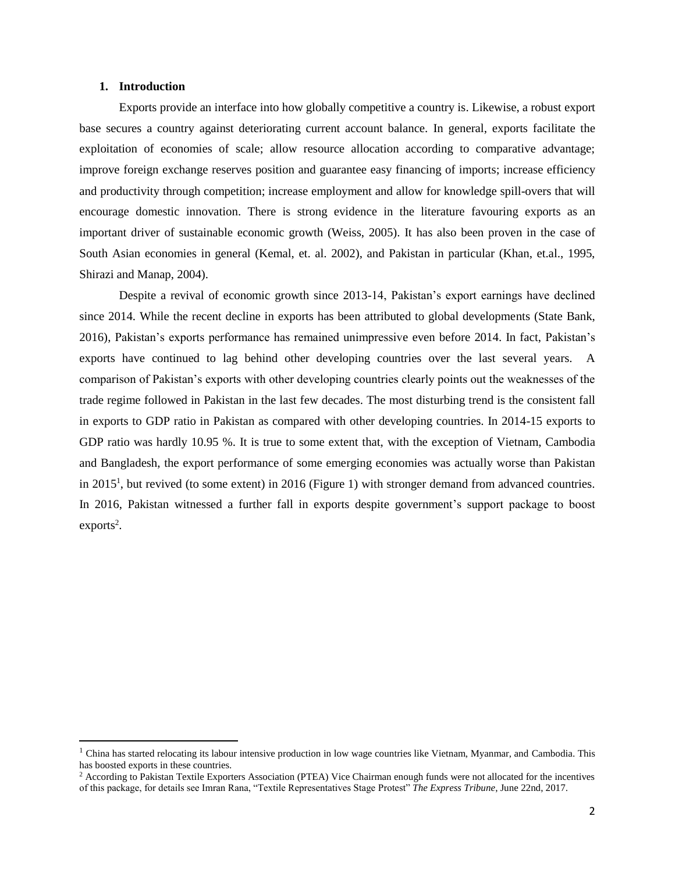## **1. Introduction**

 $\overline{a}$ 

Exports provide an interface into how globally competitive a country is. Likewise, a robust export base secures a country against deteriorating current account balance. In general, exports facilitate the exploitation of economies of scale; allow resource allocation according to comparative advantage; improve foreign exchange reserves position and guarantee easy financing of imports; increase efficiency and productivity through competition; increase employment and allow for knowledge spill-overs that will encourage domestic innovation. There is strong evidence in the literature favouring exports as an important driver of sustainable economic growth (Weiss, 2005). It has also been proven in the case of South Asian economies in general (Kemal, et. al. 2002), and Pakistan in particular (Khan, et.al., 1995, Shirazi and Manap, 2004).

Despite a revival of economic growth since 2013-14, Pakistan's export earnings have declined since 2014. While the recent decline in exports has been attributed to global developments (State Bank, 2016), Pakistan's exports performance has remained unimpressive even before 2014. In fact, Pakistan's exports have continued to lag behind other developing countries over the last several years. A comparison of Pakistan's exports with other developing countries clearly points out the weaknesses of the trade regime followed in Pakistan in the last few decades. The most disturbing trend is the consistent fall in exports to GDP ratio in Pakistan as compared with other developing countries. In 2014-15 exports to GDP ratio was hardly 10.95 %. It is true to some extent that, with the exception of Vietnam, Cambodia and Bangladesh, the export performance of some emerging economies was actually worse than Pakistan in 2015<sup>1</sup>, but revived (to some extent) in 2016 (Figure 1) with stronger demand from advanced countries. In 2016, Pakistan witnessed a further fall in exports despite government's support package to boost  $exports<sup>2</sup>$ .

<sup>&</sup>lt;sup>1</sup> China has started relocating its labour intensive production in low wage countries like Vietnam, Myanmar, and Cambodia. This has boosted exports in these countries.

<sup>&</sup>lt;sup>2</sup> According to Pakistan Textile Exporters Association (PTEA) Vice Chairman enough funds were not allocated for the incentives of this package, for details see Imran Rana, "Textile Representatives Stage Protest" *The Express Tribune*, June 22nd, 2017.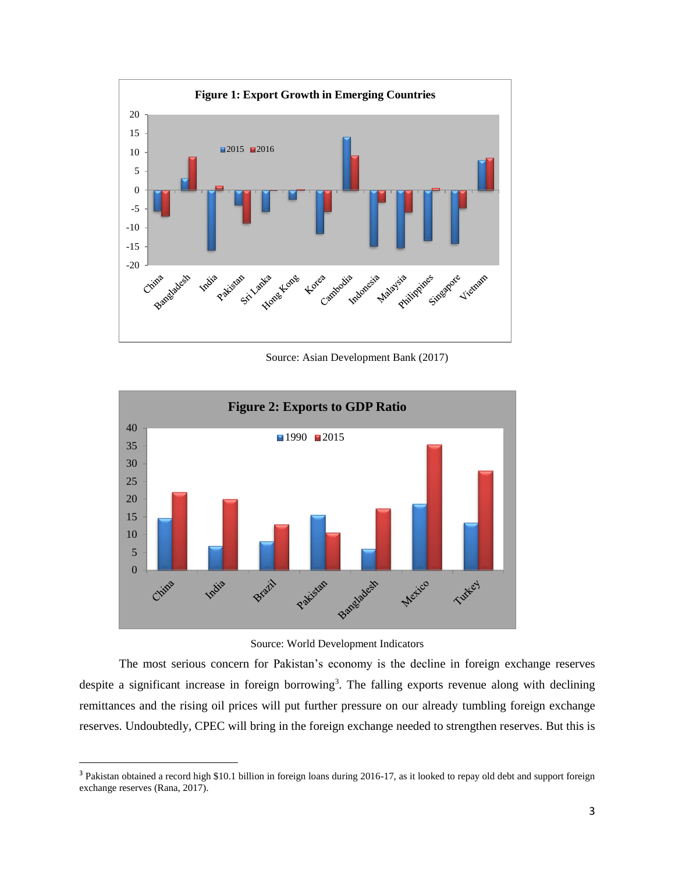

Source: Asian Development Bank (2017)



Source: World Development Indicators

The most serious concern for Pakistan's economy is the decline in foreign exchange reserves despite a significant increase in foreign borrowing<sup>3</sup>. The falling exports revenue along with declining remittances and the rising oil prices will put further pressure on our already tumbling foreign exchange reserves. Undoubtedly, CPEC will bring in the foreign exchange needed to strengthen reserves. But this is

 $\overline{a}$ 

<sup>&</sup>lt;sup>3</sup> Pakistan obtained a record high \$10.1 billion in foreign loans during 2016-17, as it looked to repay old debt and support foreign exchange reserves (Rana, 2017).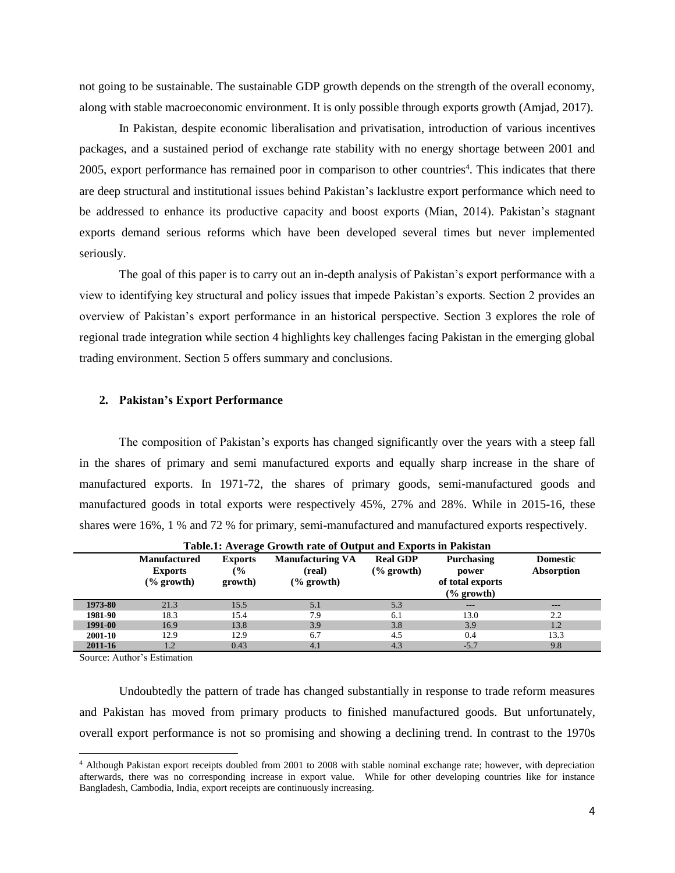not going to be sustainable. The sustainable GDP growth depends on the strength of the overall economy, along with stable macroeconomic environment. It is only possible through exports growth (Amjad, 2017).

In Pakistan, despite economic liberalisation and privatisation, introduction of various incentives packages, and a sustained period of exchange rate stability with no energy shortage between 2001 and 2005, export performance has remained poor in comparison to other countries<sup>4</sup>. This indicates that there are deep structural and institutional issues behind Pakistan's lacklustre export performance which need to be addressed to enhance its productive capacity and boost exports (Mian, 2014). Pakistan's stagnant exports demand serious reforms which have been developed several times but never implemented seriously.

The goal of this paper is to carry out an in-depth analysis of Pakistan's export performance with a view to identifying key structural and policy issues that impede Pakistan's exports. Section 2 provides an overview of Pakistan's export performance in an historical perspective. Section 3 explores the role of regional trade integration while section 4 highlights key challenges facing Pakistan in the emerging global trading environment. Section 5 offers summary and conclusions.

## **2. Pakistan's Export Performance**

The composition of Pakistan's exports has changed significantly over the years with a steep fall in the shares of primary and semi manufactured exports and equally sharp increase in the share of manufactured exports. In 1971-72, the shares of primary goods, semi-manufactured goods and manufactured goods in total exports were respectively 45%, 27% and 28%. While in 2015-16, these shares were 16%, 1 % and 72 % for primary, semi-manufactured and manufactured exports respectively.

|         |                                                                |                                            | Table.1. Average Growth rate of Output and Exports in Fakistan |                                          |                                                                         |                               |
|---------|----------------------------------------------------------------|--------------------------------------------|----------------------------------------------------------------|------------------------------------------|-------------------------------------------------------------------------|-------------------------------|
|         | <b>Manufactured</b><br><b>Exports</b><br>$\frac{6}{2}$ growth) | <b>Exports</b><br>$\frac{6}{6}$<br>growth) | <b>Manufacturing VA</b><br>(real)<br>$\frac{6}{6}$ growth)     | <b>Real GDP</b><br>$\frac{6}{6}$ growth) | <b>Purchasing</b><br>power<br>of total exports<br>$\frac{6}{2}$ growth) | <b>Domestic</b><br>Absorption |
| 1973-80 | 21.3                                                           | 15.5                                       | 5.1                                                            | 5.3                                      | $---$                                                                   | $---$                         |
| 1981-90 | 18.3                                                           | 15.4                                       | 7.9                                                            | 6.1                                      | 13.0                                                                    | 2.2                           |
| 1991-00 | 16.9                                                           | 13.8                                       | 3.9                                                            | 3.8                                      | 3.9                                                                     | 1.2                           |
| 2001-10 | 12.9                                                           | 12.9                                       | 6.7                                                            | 4.5                                      | 0.4                                                                     | 13.3                          |
| 2011-16 | 1.2                                                            | 0.43                                       | 4.1                                                            | 4.3                                      | $-5.7$                                                                  | 9.8                           |

**Table.1: Average Growth rate of Output and Exports in Pakistan**

Source: Author's Estimation

l

Undoubtedly the pattern of trade has changed substantially in response to trade reform measures and Pakistan has moved from primary products to finished manufactured goods. But unfortunately, overall export performance is not so promising and showing a declining trend. In contrast to the 1970s

<sup>4</sup> Although Pakistan export receipts doubled from 2001 to 2008 with stable nominal exchange rate; however, with depreciation afterwards, there was no corresponding increase in export value. While for other developing countries like for instance Bangladesh, Cambodia, India, export receipts are continuously increasing.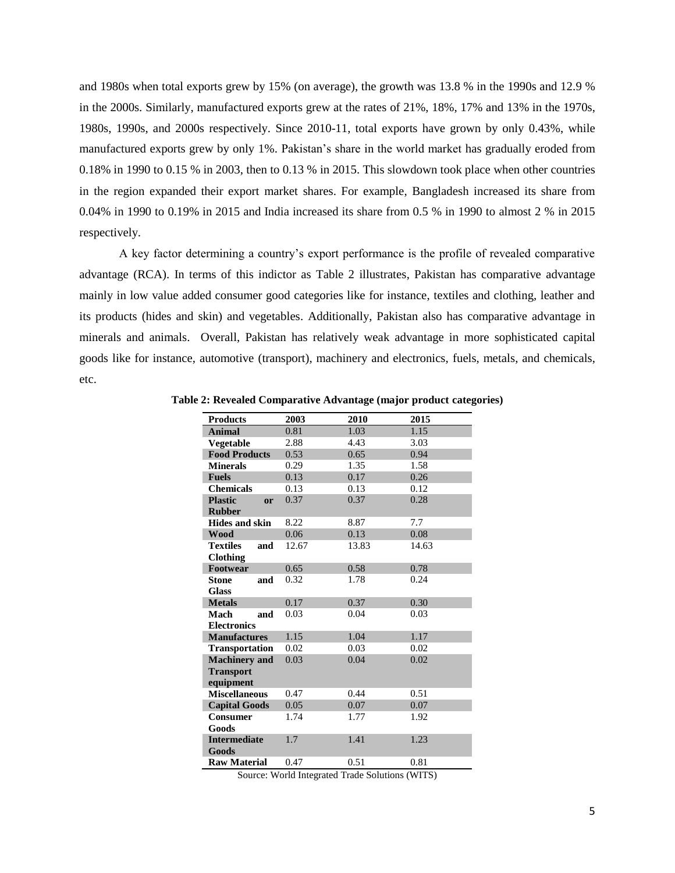and 1980s when total exports grew by 15% (on average), the growth was 13.8 % in the 1990s and 12.9 % in the 2000s. Similarly, manufactured exports grew at the rates of 21%, 18%, 17% and 13% in the 1970s, 1980s, 1990s, and 2000s respectively. Since 2010-11, total exports have grown by only 0.43%, while manufactured exports grew by only 1%. Pakistan's share in the world market has gradually eroded from 0.18% in 1990 to 0.15 % in 2003, then to 0.13 % in 2015. This slowdown took place when other countries in the region expanded their export market shares. For example, Bangladesh increased its share from 0.04% in 1990 to 0.19% in 2015 and India increased its share from 0.5 % in 1990 to almost 2 % in 2015 respectively.

A key factor determining a country's export performance is the profile of revealed comparative advantage (RCA). In terms of this indictor as Table 2 illustrates, Pakistan has comparative advantage mainly in low value added consumer good categories like for instance, textiles and clothing, leather and its products (hides and skin) and vegetables. Additionally, Pakistan also has comparative advantage in minerals and animals. Overall, Pakistan has relatively weak advantage in more sophisticated capital goods like for instance, automotive (transport), machinery and electronics, fuels, metals, and chemicals, etc.

| <b>Products</b>        | 2003  | 2010  | 2015  |
|------------------------|-------|-------|-------|
| <b>Animal</b>          | 0.81  | 1.03  | 1.15  |
| Vegetable              | 2.88  | 4.43  | 3.03  |
| <b>Food Products</b>   | 0.53  | 0.65  | 0.94  |
| <b>Minerals</b>        | 0.29  | 1.35  | 1.58  |
| <b>Fuels</b>           | 0.13  | 0.17  | 0.26  |
| <b>Chemicals</b>       | 0.13  | 0.13  | 0.12  |
| <b>Plastic</b><br>or   | 0.37  | 0.37  | 0.28  |
| <b>Rubber</b>          |       |       |       |
| <b>Hides and skin</b>  | 8.22  | 8.87  | 7.7   |
| <b>Wood</b>            | 0.06  | 0.13  | 0.08  |
| <b>Textiles</b><br>and | 12.67 | 13.83 | 14.63 |
| <b>Clothing</b>        |       |       |       |
| Footwear               | 0.65  | 0.58  | 0.78  |
| <b>Stone</b><br>and    | 0.32  | 1.78  | 0.24  |
| <b>Glass</b>           |       |       |       |
| <b>Metals</b>          | 0.17  | 0.37  | 0.30  |
| <b>Mach</b><br>and     | 0.03  | 0.04  | 0.03  |
| <b>Electronics</b>     |       |       |       |
| <b>Manufactures</b>    | 1.15  | 1.04  | 1.17  |
| <b>Transportation</b>  | 0.02  | 0.03  | 0.02  |
| <b>Machinery</b> and   | 0.03  | 0.04  | 0.02  |
| <b>Transport</b>       |       |       |       |
| equipment              |       |       |       |
| <b>Miscellaneous</b>   | 0.47  | 0.44  | 0.51  |
| <b>Capital Goods</b>   | 0.05  | 0.07  | 0.07  |
| <b>Consumer</b>        | 1.74  | 1.77  | 1.92  |
| Goods                  |       |       |       |
| <b>Intermediate</b>    | 1.7   | 1.41  | 1.23  |
| Goods                  |       |       |       |
| <b>Raw Material</b>    | 0.47  | 0.51  | 0.81  |

**Table 2: Revealed Comparative Advantage (major product categories)**

Source: World Integrated Trade Solutions (WITS)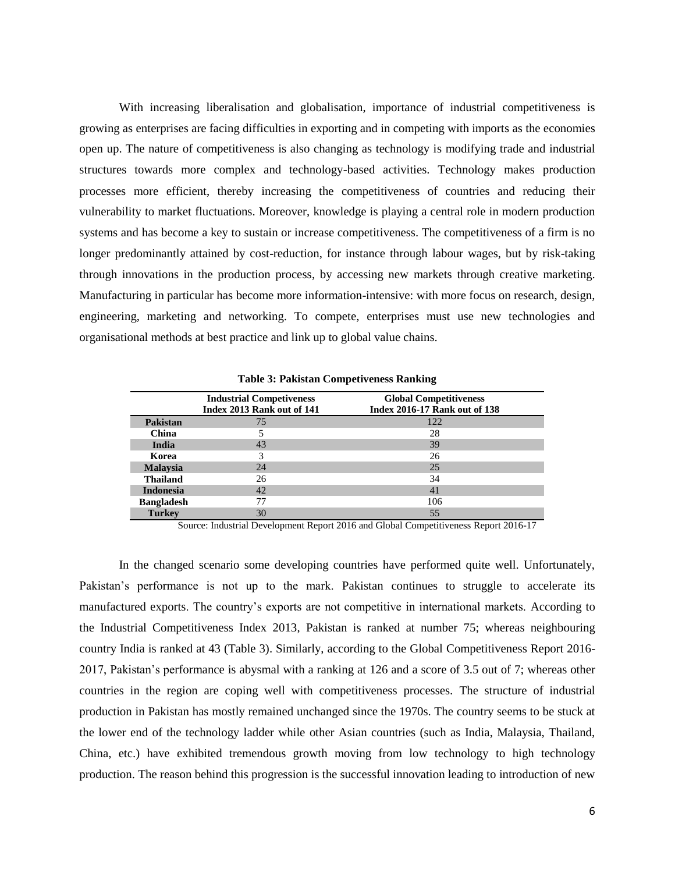With increasing liberalisation and globalisation, importance of industrial competitiveness is growing as enterprises are facing difficulties in exporting and in competing with imports as the economies open up. The nature of competitiveness is also changing as technology is modifying trade and industrial structures towards more complex and technology-based activities. Technology makes production processes more efficient, thereby increasing the competitiveness of countries and reducing their vulnerability to market fluctuations. Moreover, knowledge is playing a central role in modern production systems and has become a key to sustain or increase competitiveness. The competitiveness of a firm is no longer predominantly attained by cost-reduction, for instance through labour wages, but by risk-taking through innovations in the production process, by accessing new markets through creative marketing. Manufacturing in particular has become more information-intensive: with more focus on research, design, engineering, marketing and networking. To compete, enterprises must use new technologies and organisational methods at best practice and link up to global value chains.

|                   | <b>Industrial Competiveness</b><br>Index 2013 Rank out of 141 | <b>Global Competitiveness</b><br><b>Index 2016-17 Rank out of 138</b> |
|-------------------|---------------------------------------------------------------|-----------------------------------------------------------------------|
| <b>Pakistan</b>   | 75                                                            | 122                                                                   |
| China             |                                                               | 28                                                                    |
| India             | 43                                                            | 39                                                                    |
| Korea             | 3                                                             | 26                                                                    |
| <b>Malaysia</b>   | 24                                                            | 25                                                                    |
| <b>Thailand</b>   | 26                                                            | 34                                                                    |
| <b>Indonesia</b>  | 42                                                            | 41                                                                    |
| <b>Bangladesh</b> | 77                                                            | 106                                                                   |
| <b>Turkey</b>     | 30                                                            | 55                                                                    |

**Table 3: Pakistan Competiveness Ranking**

Source: Industrial Development Report 2016 and Global Competitiveness Report 2016-17

In the changed scenario some developing countries have performed quite well. Unfortunately, Pakistan's performance is not up to the mark. Pakistan continues to struggle to accelerate its manufactured exports. The country's exports are not competitive in international markets. According to the Industrial Competitiveness Index 2013, Pakistan is ranked at number 75; whereas neighbouring country India is ranked at 43 (Table 3). Similarly, according to the Global Competitiveness Report 2016- 2017, Pakistan's performance is abysmal with a ranking at 126 and a score of 3.5 out of 7; whereas other countries in the region are coping well with competitiveness processes. The structure of industrial production in Pakistan has mostly remained unchanged since the 1970s. The country seems to be stuck at the lower end of the technology ladder while other Asian countries (such as India, Malaysia, Thailand, China, etc.) have exhibited tremendous growth moving from low technology to high technology production. The reason behind this progression is the successful innovation leading to introduction of new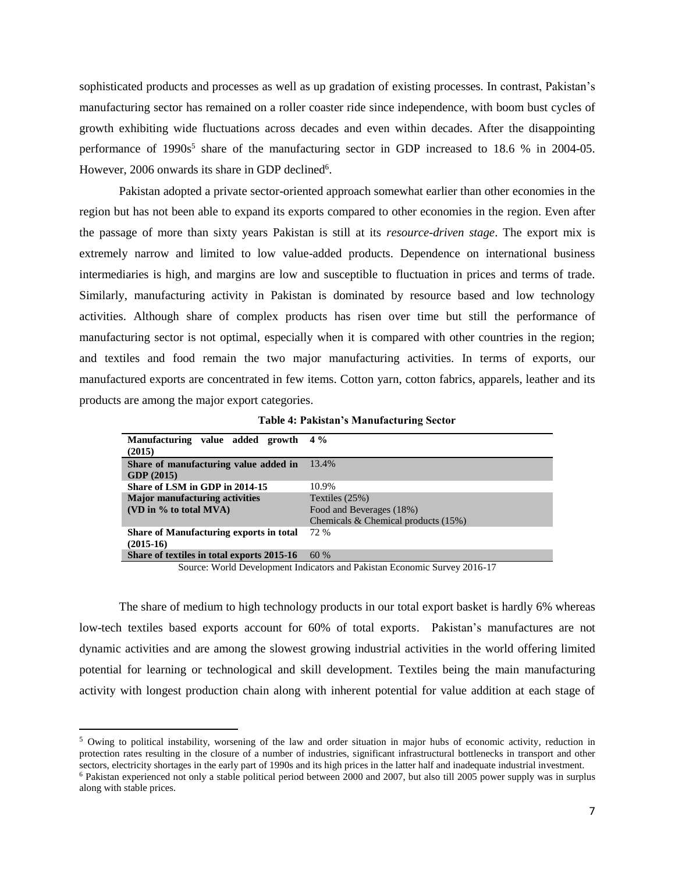sophisticated products and processes as well as up gradation of existing processes. In contrast, Pakistan's manufacturing sector has remained on a roller coaster ride since independence, with boom bust cycles of growth exhibiting wide fluctuations across decades and even within decades. After the disappointing performance of 1990s<sup>5</sup> share of the manufacturing sector in GDP increased to 18.6 % in 2004-05. However, 2006 onwards its share in GDP declined<sup>6</sup>.

Pakistan adopted a private sector-oriented approach somewhat earlier than other economies in the region but has not been able to expand its exports compared to other economies in the region. Even after the passage of more than sixty years Pakistan is still at its *resource-driven stage*. The export mix is extremely narrow and limited to low value-added products. Dependence on international business intermediaries is high, and margins are low and susceptible to fluctuation in prices and terms of trade. Similarly, manufacturing activity in Pakistan is dominated by resource based and low technology activities. Although share of complex products has risen over time but still the performance of manufacturing sector is not optimal, especially when it is compared with other countries in the region; and textiles and food remain the two major manufacturing activities. In terms of exports, our manufactured exports are concentrated in few items. Cotton yarn, cotton fabrics, apparels, leather and its products are among the major export categories.

**Table 4: Pakistan's Manufacturing Sector**

| Manufacturing value added growth<br>(2015)          | $4\%$                                  |
|-----------------------------------------------------|----------------------------------------|
| Share of manufacturing value added in<br>GDP (2015) | 13.4%                                  |
| Share of LSM in GDP in 2014-15                      | 10.9%                                  |
| <b>Major manufacturing activities</b>               | Textiles $(25%)$                       |
| (VD in $\%$ to total MVA)                           | Food and Beverages (18%)               |
|                                                     | Chemicals & Chemical products $(15\%)$ |
| Share of Manufacturing exports in total             | 72.96                                  |
| $(2015-16)$                                         |                                        |
| Share of textiles in total exports 2015-16          | 60%                                    |

Source: World Development Indicators and Pakistan Economic Survey 2016-17

The share of medium to high technology products in our total export basket is hardly 6% whereas low-tech textiles based exports account for 60% of total exports. Pakistan's manufactures are not dynamic activities and are among the slowest growing industrial activities in the world offering limited potential for learning or technological and skill development. Textiles being the main manufacturing activity with longest production chain along with inherent potential for value addition at each stage of

 $\overline{a}$ 

<sup>5</sup> Owing to political instability, worsening of the law and order situation in major hubs of economic activity, reduction in protection rates resulting in the closure of a number of industries, significant infrastructural bottlenecks in transport and other sectors, electricity shortages in the early part of 1990s and its high prices in the latter half and inadequate industrial investment. <sup>6</sup> Pakistan experienced not only a stable political period between 2000 and 2007, but also till 2005 power supply was in surplus along with stable prices.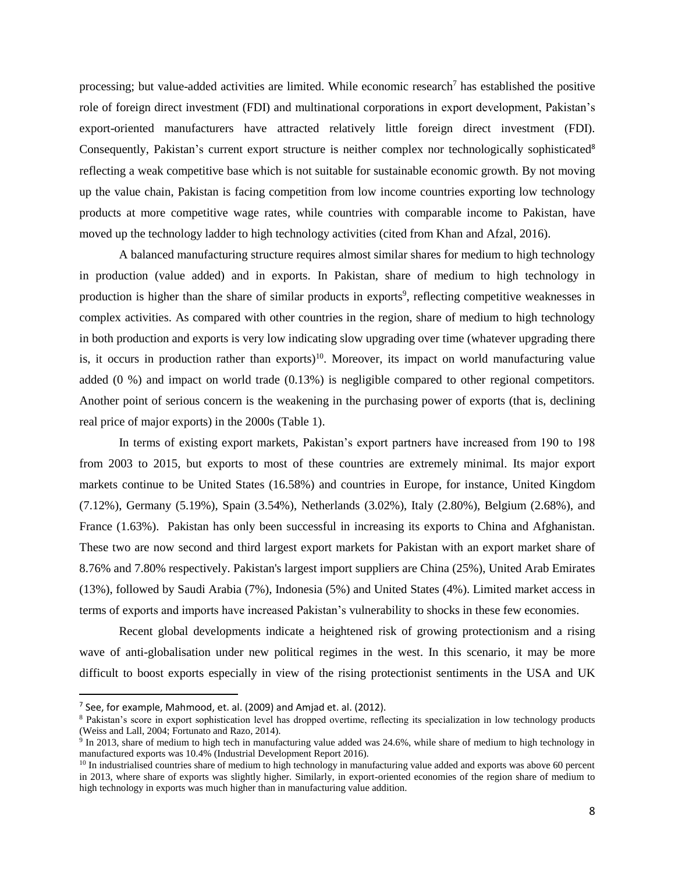processing; but value-added activities are limited. While economic research<sup>7</sup> has established the positive role of foreign direct investment (FDI) and multinational corporations in export development, Pakistan's export-oriented manufacturers have attracted relatively little foreign direct investment (FDI). Consequently, Pakistan's current export structure is neither complex nor technologically sophisticated<sup>8</sup> reflecting a weak competitive base which is not suitable for sustainable economic growth. By not moving up the value chain, Pakistan is facing competition from low income countries exporting low technology products at more competitive wage rates, while countries with comparable income to Pakistan, have moved up the technology ladder to high technology activities (cited from Khan and Afzal, 2016).

A balanced manufacturing structure requires almost similar shares for medium to high technology in production (value added) and in exports. In Pakistan, share of medium to high technology in production is higher than the share of similar products in exports<sup>9</sup>, reflecting competitive weaknesses in complex activities. As compared with other countries in the region, share of medium to high technology in both production and exports is very low indicating slow upgrading over time (whatever upgrading there is, it occurs in production rather than exports)<sup>10</sup>. Moreover, its impact on world manufacturing value added (0 %) and impact on world trade (0.13%) is negligible compared to other regional competitors. Another point of serious concern is the weakening in the purchasing power of exports (that is, declining real price of major exports) in the 2000s (Table 1).

In terms of existing export markets, Pakistan's export partners have increased from 190 to 198 from 2003 to 2015, but exports to most of these countries are extremely minimal. Its major export markets continue to be United States (16.58%) and countries in Europe, for instance, United Kingdom (7.12%), Germany (5.19%), Spain (3.54%), Netherlands (3.02%), Italy (2.80%), Belgium (2.68%), and France (1.63%). Pakistan has only been successful in increasing its exports to China and Afghanistan. These two are now second and third largest export markets for Pakistan with an export market share of 8.76% and 7.80% respectively. Pakistan's largest import suppliers are China (25%), United Arab Emirates (13%), followed by Saudi Arabia (7%), Indonesia (5%) and United States (4%). Limited market access in terms of exports and imports have increased Pakistan's vulnerability to shocks in these few economies.

Recent global developments indicate a heightened risk of growing protectionism and a rising wave of anti-globalisation under new political regimes in the west. In this scenario, it may be more difficult to boost exports especially in view of the rising protectionist sentiments in the USA and UK

 $\overline{\phantom{a}}$ 

 $<sup>7</sup>$  See, for example, Mahmood, et. al. (2009) and Amjad et. al. (2012).</sup>

<sup>8</sup> Pakistan's score in export sophistication level has dropped overtime, reflecting its specialization in low technology products (Weiss and Lall, 2004; Fortunato and Razo, 2014).

<sup>&</sup>lt;sup>9</sup> In 2013, share of medium to high tech in manufacturing value added was 24.6%, while share of medium to high technology in manufactured exports was 10.4% (Industrial Development Report 2016).

<sup>&</sup>lt;sup>10</sup> In industrialised countries share of medium to high technology in manufacturing value added and exports was above 60 percent in 2013, where share of exports was slightly higher. Similarly, in export-oriented economies of the region share of medium to high technology in exports was much higher than in manufacturing value addition.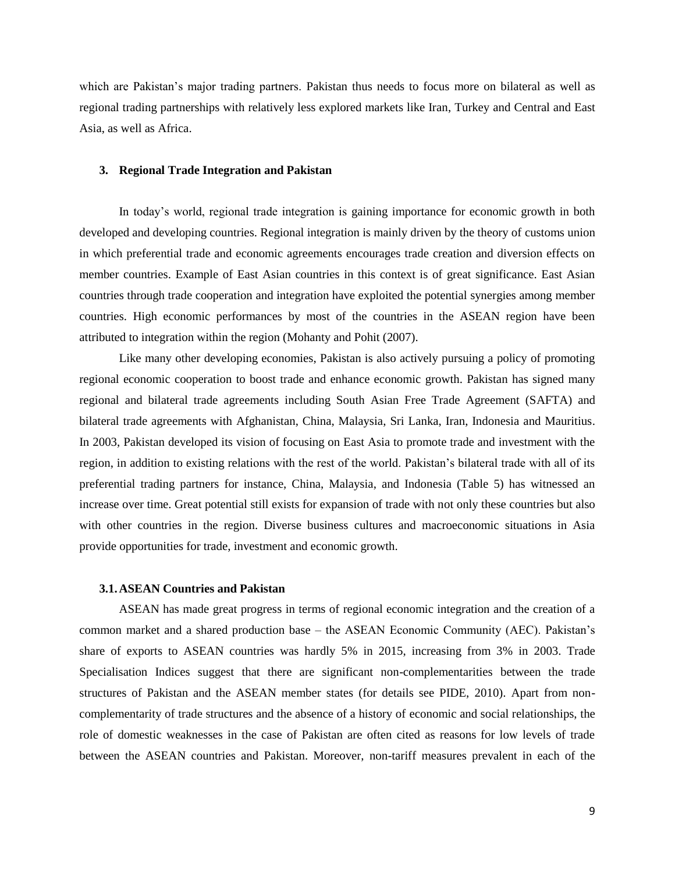which are Pakistan's major trading partners. Pakistan thus needs to focus more on bilateral as well as regional trading partnerships with relatively less explored markets like Iran, Turkey and Central and East Asia, as well as Africa.

# **3. Regional Trade Integration and Pakistan**

In today's world, regional trade integration is gaining importance for economic growth in both developed and developing countries. Regional integration is mainly driven by the theory of customs union in which preferential trade and economic agreements encourages trade creation and diversion effects on member countries. Example of East Asian countries in this context is of great significance. East Asian countries through trade cooperation and integration have exploited the potential synergies among member countries. High economic performances by most of the countries in the ASEAN region have been attributed to integration within the region (Mohanty and Pohit (2007).

Like many other developing economies, Pakistan is also actively pursuing a policy of promoting regional economic cooperation to boost trade and enhance economic growth. Pakistan has signed many regional and bilateral trade agreements including South Asian Free Trade Agreement (SAFTA) and bilateral trade agreements with Afghanistan, China, Malaysia, Sri Lanka, Iran, Indonesia and Mauritius. In 2003, Pakistan developed its vision of focusing on East Asia to promote trade and investment with the region, in addition to existing relations with the rest of the world. Pakistan's bilateral trade with all of its preferential trading partners for instance, China, Malaysia, and Indonesia (Table 5) has witnessed an increase over time. Great potential still exists for expansion of trade with not only these countries but also with other countries in the region. Diverse business cultures and macroeconomic situations in Asia provide opportunities for trade, investment and economic growth.

# **3.1.ASEAN Countries and Pakistan**

ASEAN has made great progress in terms of regional economic integration and the creation of a common market and a shared production base – the ASEAN Economic Community (AEC). Pakistan's share of exports to ASEAN countries was hardly 5% in 2015, increasing from 3% in 2003. Trade Specialisation Indices suggest that there are significant non-complementarities between the trade structures of Pakistan and the ASEAN member states (for details see PIDE, 2010). Apart from noncomplementarity of trade structures and the absence of a history of economic and social relationships, the role of domestic weaknesses in the case of Pakistan are often cited as reasons for low levels of trade between the ASEAN countries and Pakistan. Moreover, non-tariff measures prevalent in each of the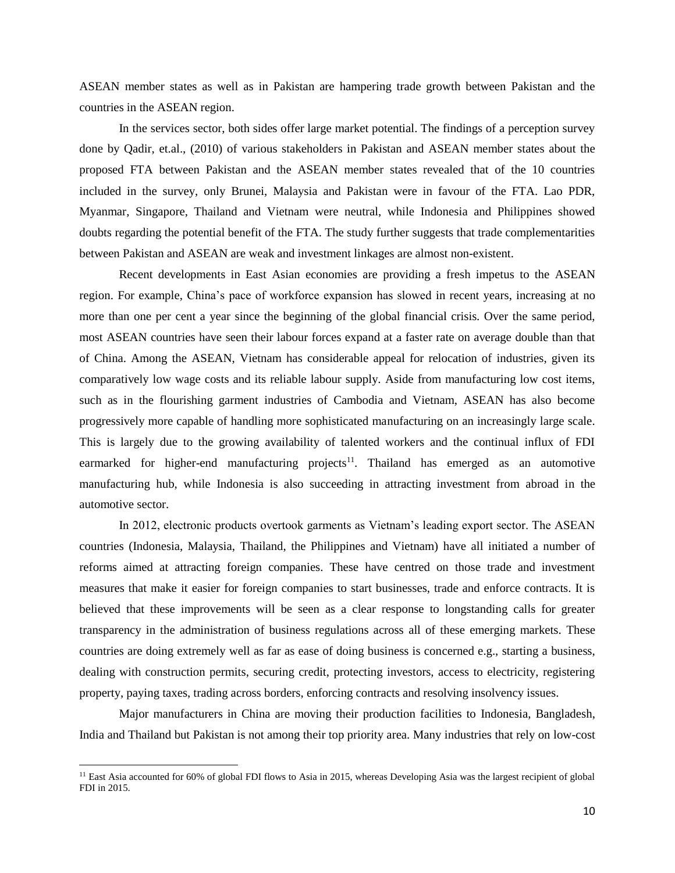ASEAN member states as well as in Pakistan are hampering trade growth between Pakistan and the countries in the ASEAN region.

In the services sector, both sides offer large market potential. The findings of a perception survey done by Qadir, et.al., (2010) of various stakeholders in Pakistan and ASEAN member states about the proposed FTA between Pakistan and the ASEAN member states revealed that of the 10 countries included in the survey, only Brunei, Malaysia and Pakistan were in favour of the FTA. Lao PDR, Myanmar, Singapore, Thailand and Vietnam were neutral, while Indonesia and Philippines showed doubts regarding the potential benefit of the FTA. The study further suggests that trade complementarities between Pakistan and ASEAN are weak and investment linkages are almost non-existent.

Recent developments in East Asian economies are providing a fresh impetus to the ASEAN region. For example, China's pace of workforce expansion has slowed in recent years, increasing at no more than one per cent a year since the beginning of the global financial crisis. Over the same period, most ASEAN countries have seen their labour forces expand at a faster rate on average double than that of China. Among the ASEAN, Vietnam has considerable appeal for relocation of industries, given its comparatively low wage costs and its reliable labour supply. Aside from manufacturing low cost items, such as in the flourishing garment industries of Cambodia and Vietnam, ASEAN has also become progressively more capable of handling more sophisticated manufacturing on an increasingly large scale. This is largely due to the growing availability of talented workers and the continual influx of FDI earmarked for higher-end manufacturing projects<sup>11</sup>. Thailand has emerged as an automotive manufacturing hub, while Indonesia is also succeeding in attracting investment from abroad in the automotive sector.

In 2012, electronic products overtook garments as Vietnam's leading export sector. The ASEAN countries (Indonesia, Malaysia, Thailand, the Philippines and Vietnam) have all initiated a number of reforms aimed at attracting foreign companies. These have centred on those trade and investment measures that make it easier for foreign companies to start businesses, trade and enforce contracts. It is believed that these improvements will be seen as a clear response to longstanding calls for greater transparency in the administration of business regulations across all of these emerging markets. These countries are doing extremely well as far as ease of doing business is concerned e.g., starting a business, dealing with construction permits, securing credit, protecting investors, access to electricity, registering property, paying taxes, trading across borders, enforcing contracts and resolving insolvency issues.

Major manufacturers in China are moving their production facilities to Indonesia, Bangladesh, India and Thailand but Pakistan is not among their top priority area. Many industries that rely on low-cost

 $\overline{a}$ 

<sup>&</sup>lt;sup>11</sup> East Asia accounted for 60% of global FDI flows to Asia in 2015, whereas Developing Asia was the largest recipient of global FDI in 2015.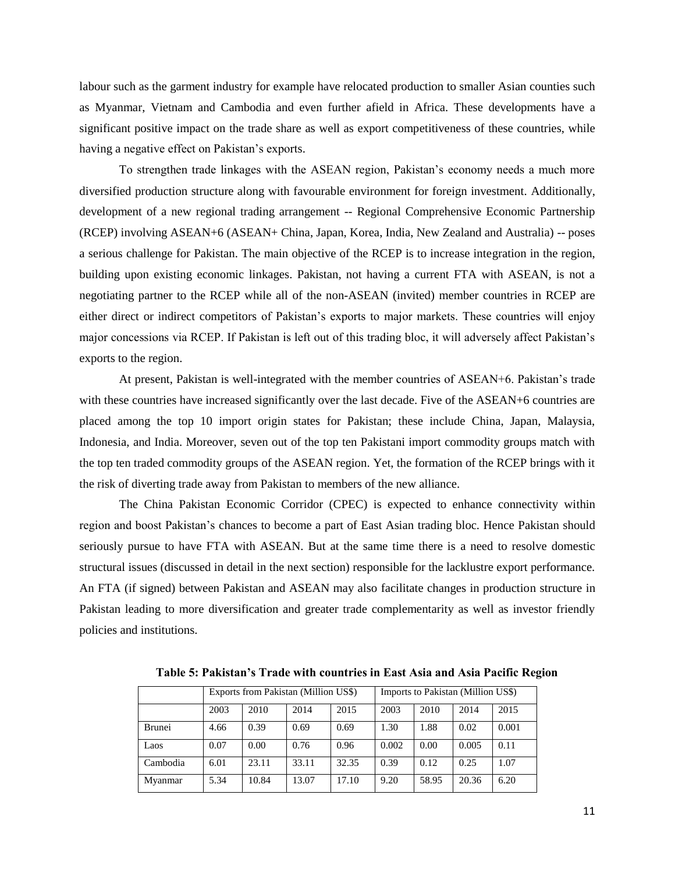labour such as the garment industry for example have relocated production to smaller Asian counties such as Myanmar, Vietnam and Cambodia and even further afield in Africa. These developments have a significant positive impact on the trade share as well as export competitiveness of these countries, while having a negative effect on Pakistan's exports.

To strengthen trade linkages with the ASEAN region, Pakistan's economy needs a much more diversified production structure along with favourable environment for foreign investment. Additionally, development of a new regional trading arrangement -- Regional Comprehensive Economic Partnership (RCEP) involving ASEAN+6 (ASEAN+ China, Japan, Korea, India, New Zealand and Australia) -- poses a serious challenge for Pakistan. The main objective of the RCEP is to increase integration in the region, building upon existing economic linkages. Pakistan, not having a current FTA with ASEAN, is not a negotiating partner to the RCEP while all of the non-ASEAN (invited) member countries in RCEP are either direct or indirect competitors of Pakistan's exports to major markets. These countries will enjoy major concessions via RCEP. If Pakistan is left out of this trading bloc, it will adversely affect Pakistan's exports to the region.

At present, Pakistan is well-integrated with the member countries of ASEAN+6. Pakistan's trade with these countries have increased significantly over the last decade. Five of the ASEAN+6 countries are placed among the top 10 import origin states for Pakistan; these include China, Japan, Malaysia, Indonesia, and India. Moreover, seven out of the top ten Pakistani import commodity groups match with the top ten traded commodity groups of the ASEAN region. Yet, the formation of the RCEP brings with it the risk of diverting trade away from Pakistan to members of the new alliance.

The China Pakistan Economic Corridor (CPEC) is expected to enhance connectivity within region and boost Pakistan's chances to become a part of East Asian trading bloc. Hence Pakistan should seriously pursue to have FTA with ASEAN. But at the same time there is a need to resolve domestic structural issues (discussed in detail in the next section) responsible for the lacklustre export performance. An FTA (if signed) between Pakistan and ASEAN may also facilitate changes in production structure in Pakistan leading to more diversification and greater trade complementarity as well as investor friendly policies and institutions.

|               |      | Exports from Pakistan (Million US\$) | Imports to Pakistan (Million US\$) |       |       |       |       |       |
|---------------|------|--------------------------------------|------------------------------------|-------|-------|-------|-------|-------|
|               | 2003 | 2010                                 | 2010<br>2014<br>2003               |       |       | 2015  |       |       |
| <b>Brunei</b> | 4.66 | 0.39                                 | 0.69                               | 0.69  | 1.30  | 1.88  | 0.02  | 0.001 |
| Laos          | 0.07 | 0.00                                 | 0.76                               | 0.96  | 0.002 | 0.00  | 0.005 | 0.11  |
| Cambodia      | 6.01 | 23.11                                | 33.11                              | 32.35 | 0.39  | 0.12  | 0.25  | 1.07  |
| Myanmar       | 5.34 | 10.84                                | 13.07                              | 17.10 | 9.20  | 58.95 | 20.36 | 6.20  |

**Table 5: Pakistan's Trade with countries in East Asia and Asia Pacific Region**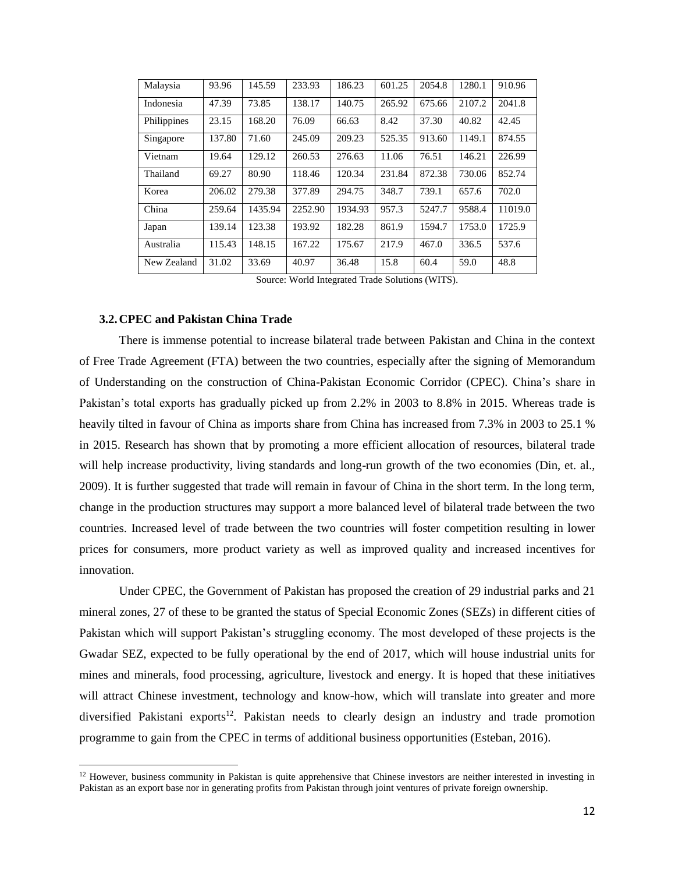| Malaysia    | 93.96  | 145.59  | 233.93  | 186.23  | 601.25 | 2054.8 | 1280.1 | 910.96  |
|-------------|--------|---------|---------|---------|--------|--------|--------|---------|
| Indonesia   | 47.39  | 73.85   | 138.17  | 140.75  | 265.92 | 675.66 | 2107.2 | 2041.8  |
| Philippines | 23.15  | 168.20  | 76.09   | 66.63   | 8.42   | 37.30  | 40.82  | 42.45   |
| Singapore   | 137.80 | 71.60   | 245.09  | 209.23  | 525.35 | 913.60 | 1149.1 | 874.55  |
| Vietnam     | 19.64  | 129.12  | 260.53  | 276.63  | 11.06  | 76.51  | 146.21 | 226.99  |
| Thailand    | 69.27  | 80.90   | 118.46  | 120.34  | 231.84 | 872.38 | 730.06 | 852.74  |
| Korea       | 206.02 | 279.38  | 377.89  | 294.75  | 348.7  | 739.1  | 657.6  | 702.0   |
| China       | 259.64 | 1435.94 | 2252.90 | 1934.93 | 957.3  | 5247.7 | 9588.4 | 11019.0 |
| Japan       | 139.14 | 123.38  | 193.92  | 182.28  | 861.9  | 1594.7 | 1753.0 | 1725.9  |
| Australia   | 115.43 | 148.15  | 167.22  | 175.67  | 217.9  | 467.0  | 336.5  | 537.6   |
| New Zealand | 31.02  | 33.69   | 40.97   | 36.48   | 15.8   | 60.4   | 59.0   | 48.8    |

Source: World Integrated Trade Solutions (WITS).

#### **3.2.CPEC and Pakistan China Trade**

 $\overline{a}$ 

There is immense potential to increase bilateral trade between Pakistan and China in the context of Free Trade Agreement (FTA) between the two countries, especially after the signing of Memorandum of Understanding on the construction of China-Pakistan Economic Corridor (CPEC). China's share in Pakistan's total exports has gradually picked up from 2.2% in 2003 to 8.8% in 2015. Whereas trade is heavily tilted in favour of China as imports share from China has increased from 7.3% in 2003 to 25.1 % in 2015. Research has shown that by promoting a more efficient allocation of resources, bilateral trade will help increase productivity, living standards and long-run growth of the two economies (Din, et. al., 2009). It is further suggested that trade will remain in favour of China in the short term. In the long term, change in the production structures may support a more balanced level of bilateral trade between the two countries. Increased level of trade between the two countries will foster competition resulting in lower prices for consumers, more product variety as well as improved quality and increased incentives for innovation.

Under CPEC, the Government of Pakistan has proposed the creation of 29 industrial parks and 21 mineral zones, 27 of these to be granted the status of Special Economic Zones (SEZs) in different cities of Pakistan which will support Pakistan's struggling economy. The most developed of these projects is the Gwadar SEZ, expected to be fully operational by the end of 2017, which will house industrial units for mines and minerals, food processing, agriculture, livestock and energy. It is hoped that these initiatives will attract Chinese investment, technology and know-how, which will translate into greater and more diversified Pakistani exports<sup>12</sup>. Pakistan needs to clearly design an industry and trade promotion programme to gain from the CPEC in terms of additional business opportunities (Esteban, 2016).

 $12$  However, business community in Pakistan is quite apprehensive that Chinese investors are neither interested in investing in Pakistan as an export base nor in generating profits from Pakistan through joint ventures of private foreign ownership.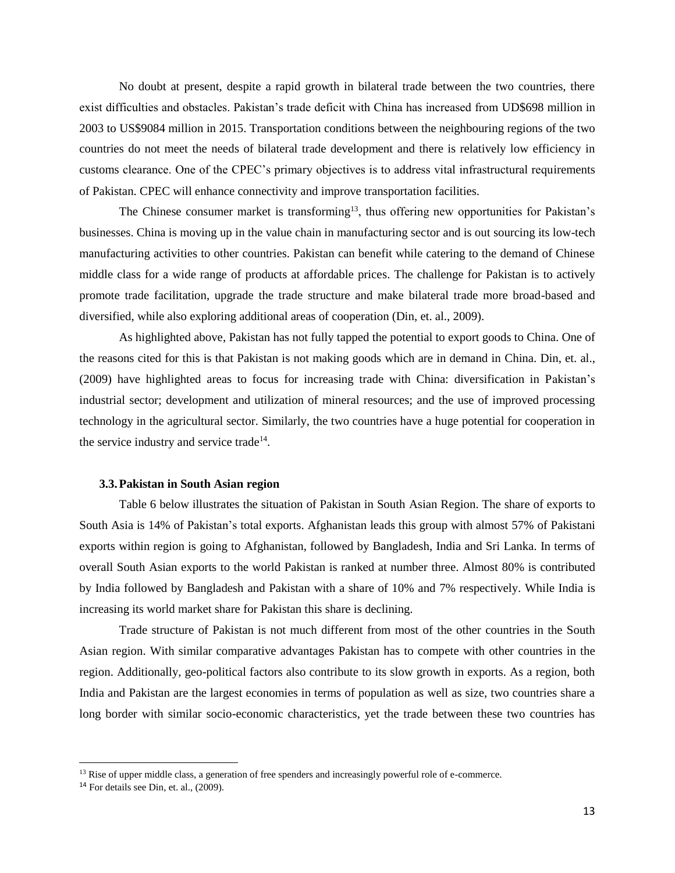No doubt at present, despite a rapid growth in bilateral trade between the two countries, there exist difficulties and obstacles. Pakistan's trade deficit with China has increased from UD\$698 million in 2003 to US\$9084 million in 2015. Transportation conditions between the neighbouring regions of the two countries do not meet the needs of bilateral trade development and there is relatively low efficiency in customs clearance. One of the CPEC's primary objectives is to address vital infrastructural requirements of Pakistan. CPEC will enhance connectivity and improve transportation facilities.

The Chinese consumer market is transforming<sup>13</sup>, thus offering new opportunities for Pakistan's businesses. China is moving up in the value chain in manufacturing sector and is out sourcing its low-tech manufacturing activities to other countries. Pakistan can benefit while catering to the demand of Chinese middle class for a wide range of products at affordable prices. The challenge for Pakistan is to actively promote trade facilitation, upgrade the trade structure and make bilateral trade more broad-based and diversified, while also exploring additional areas of cooperation (Din, et. al., 2009).

As highlighted above, Pakistan has not fully tapped the potential to export goods to China. One of the reasons cited for this is that Pakistan is not making goods which are in demand in China. Din, et. al., (2009) have highlighted areas to focus for increasing trade with China: diversification in Pakistan's industrial sector; development and utilization of mineral resources; and the use of improved processing technology in the agricultural sector. Similarly, the two countries have a huge potential for cooperation in the service industry and service trade<sup>14</sup>.

## **3.3.Pakistan in South Asian region**

Table 6 below illustrates the situation of Pakistan in South Asian Region. The share of exports to South Asia is 14% of Pakistan's total exports. Afghanistan leads this group with almost 57% of Pakistani exports within region is going to Afghanistan, followed by Bangladesh, India and Sri Lanka. In terms of overall South Asian exports to the world Pakistan is ranked at number three. Almost 80% is contributed by India followed by Bangladesh and Pakistan with a share of 10% and 7% respectively. While India is increasing its world market share for Pakistan this share is declining.

Trade structure of Pakistan is not much different from most of the other countries in the South Asian region. With similar comparative advantages Pakistan has to compete with other countries in the region. Additionally, geo-political factors also contribute to its slow growth in exports. As a region, both India and Pakistan are the largest economies in terms of population as well as size, two countries share a long border with similar socio-economic characteristics, yet the trade between these two countries has

 $\overline{a}$ 

<sup>&</sup>lt;sup>13</sup> Rise of upper middle class, a generation of free spenders and increasingly powerful role of e-commerce.

 $14$  For details see Din, et. al.,  $(2009)$ .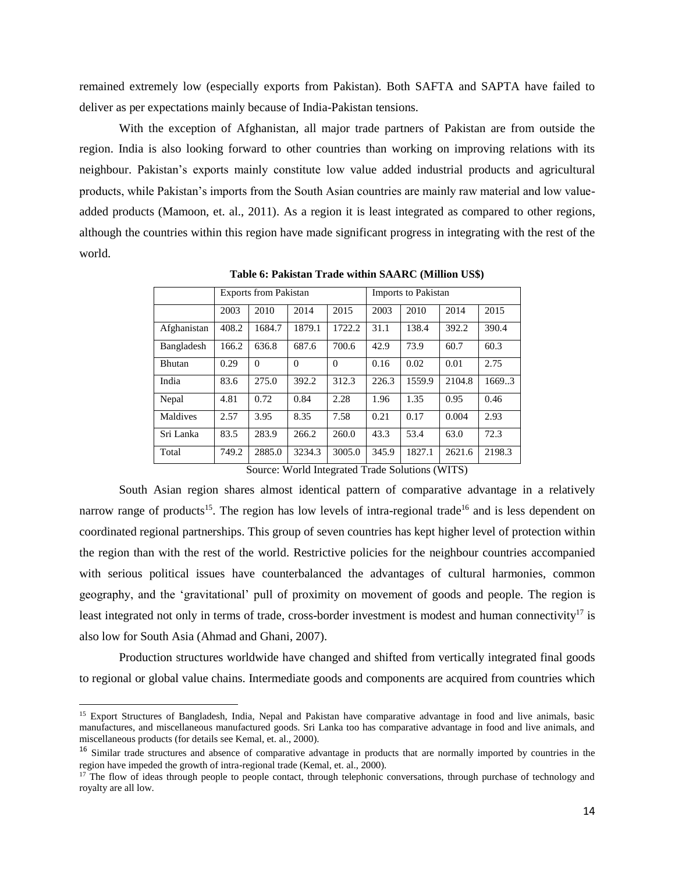remained extremely low (especially exports from Pakistan). Both SAFTA and SAPTA have failed to deliver as per expectations mainly because of India-Pakistan tensions.

With the exception of Afghanistan, all major trade partners of Pakistan are from outside the region. India is also looking forward to other countries than working on improving relations with its neighbour. Pakistan's exports mainly constitute low value added industrial products and agricultural products, while Pakistan's imports from the South Asian countries are mainly raw material and low valueadded products (Mamoon, et. al., 2011). As a region it is least integrated as compared to other regions, although the countries within this region have made significant progress in integrating with the rest of the world.

|               |       | <b>Exports from Pakistan</b> |          |          | Imports to Pakistan |        |        |        |  |
|---------------|-------|------------------------------|----------|----------|---------------------|--------|--------|--------|--|
|               | 2003  | 2010                         | 2014     | 2015     | 2003                | 2010   | 2014   | 2015   |  |
| Afghanistan   | 408.2 | 1684.7                       | 1879.1   | 1722.2   | 31.1                | 138.4  | 392.2  | 390.4  |  |
| Bangladesh    | 166.2 | 636.8                        | 687.6    | 700.6    | 42.9                | 73.9   | 60.7   | 60.3   |  |
| <b>Bhutan</b> | 0.29  | $\Omega$                     | $\Omega$ | $\Omega$ | 0.16                | 0.02   | 0.01   | 2.75   |  |
| India         | 83.6  | 275.0                        | 392.2    | 312.3    | 226.3               | 1559.9 | 2104.8 | 1669.3 |  |
| Nepal         | 4.81  | 0.72                         | 0.84     | 2.28     | 1.96                | 1.35   | 0.95   | 0.46   |  |
| Maldives      | 2.57  | 3.95                         | 8.35     | 7.58     | 0.21                | 0.17   | 0.004  | 2.93   |  |
| Sri Lanka     | 83.5  | 283.9                        | 266.2    | 260.0    | 43.3                | 53.4   | 63.0   | 72.3   |  |
| Total         | 749.2 | 2885.0                       | 3234.3   | 3005.0   | 345.9               | 1827.1 | 2621.6 | 2198.3 |  |

**Table 6: Pakistan Trade within SAARC (Million US\$)**

Source: World Integrated Trade Solutions (WITS)

South Asian region shares almost identical pattern of comparative advantage in a relatively narrow range of products<sup>15</sup>. The region has low levels of intra-regional trade<sup>16</sup> and is less dependent on coordinated regional partnerships. This group of seven countries has kept higher level of protection within the region than with the rest of the world. Restrictive policies for the neighbour countries accompanied with serious political issues have counterbalanced the advantages of cultural harmonies, common geography, and the 'gravitational' pull of proximity on movement of goods and people. The region is least integrated not only in terms of trade, cross-border investment is modest and human connectivity<sup>17</sup> is also low for South Asia (Ahmad and Ghani, 2007).

Production structures worldwide have changed and shifted from vertically integrated final goods to regional or global value chains. Intermediate goods and components are acquired from countries which

 $\overline{a}$ 

<sup>&</sup>lt;sup>15</sup> Export Structures of Bangladesh, India, Nepal and Pakistan have comparative advantage in food and live animals, basic manufactures, and miscellaneous manufactured goods. Sri Lanka too has comparative advantage in food and live animals, and miscellaneous products (for details see Kemal, et. al., 2000).

<sup>&</sup>lt;sup>16</sup> Similar trade structures and absence of comparative advantage in products that are normally imported by countries in the region have impeded the growth of intra-regional trade (Kemal, et. al., 2000).

<sup>&</sup>lt;sup>17</sup> The flow of ideas through people to people contact, through telephonic conversations, through purchase of technology and royalty are all low.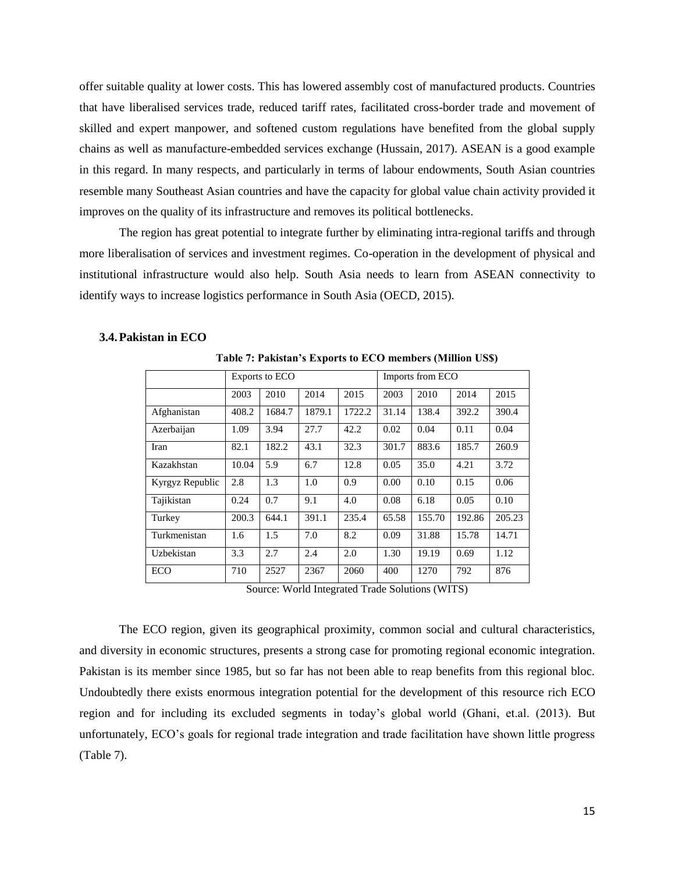offer suitable quality at lower costs. This has lowered assembly cost of manufactured products. Countries that have liberalised services trade, reduced tariff rates, facilitated cross-border trade and movement of skilled and expert manpower, and softened custom regulations have benefited from the global supply chains as well as manufacture-embedded services exchange (Hussain, 2017). ASEAN is a good example in this regard. In many respects, and particularly in terms of labour endowments, South Asian countries resemble many Southeast Asian countries and have the capacity for global value chain activity provided it improves on the quality of its infrastructure and removes its political bottlenecks.

The region has great potential to integrate further by eliminating intra-regional tariffs and through more liberalisation of services and investment regimes. Co-operation in the development of physical and institutional infrastructure would also help. South Asia needs to learn from ASEAN connectivity to identify ways to increase logistics performance in South Asia (OECD, 2015).

**Table 7: Pakistan's Exports to ECO members (Million US\$)**

|                 |       | <b>Exports to ECO</b> |        |        |       | Imports from ECO |        |        |  |
|-----------------|-------|-----------------------|--------|--------|-------|------------------|--------|--------|--|
|                 | 2003  | 2010                  | 2014   | 2015   | 2003  | 2010             | 2014   | 2015   |  |
| Afghanistan     | 408.2 | 1684.7                | 1879.1 | 1722.2 | 31.14 | 138.4            | 392.2  | 390.4  |  |
| Azerbaijan      | 1.09  | 3.94                  | 27.7   | 42.2   | 0.02  | 0.04             | 0.11   | 0.04   |  |
| Iran            | 82.1  | 182.2                 | 43.1   | 32.3   | 301.7 | 883.6            | 185.7  | 260.9  |  |
| Kazakhstan      | 10.04 | 5.9                   | 6.7    | 12.8   | 0.05  | 35.0             | 4.21   | 3.72   |  |
| Kyrgyz Republic | 2.8   | 1.3                   | 1.0    | 0.9    | 0.00  | 0.10             | 0.15   | 0.06   |  |
| Tajikistan      | 0.24  | 0.7                   | 9.1    | 4.0    | 0.08  | 6.18             | 0.05   | 0.10   |  |
| Turkey          | 200.3 | 644.1                 | 391.1  | 235.4  | 65.58 | 155.70           | 192.86 | 205.23 |  |
| Turkmenistan    | 1.6   | 1.5                   | 7.0    | 8.2    | 0.09  | 31.88            | 15.78  | 14.71  |  |
| Uzbekistan      | 3.3   | 2.7                   | 2.4    | 2.0    | 1.30  | 19.19            | 0.69   | 1.12   |  |
| ECO             | 710   | 2527                  | 2367   | 2060   | 400   | 1270             | 792    | 876    |  |

#### **3.4.Pakistan in ECO**

Source: World Integrated Trade Solutions (WITS)

The ECO region, given its geographical proximity, common social and cultural characteristics, and diversity in economic structures, presents a strong case for promoting regional economic integration. Pakistan is its member since 1985, but so far has not been able to reap benefits from this regional bloc. Undoubtedly there exists enormous integration potential for the development of this resource rich ECO region and for including its excluded segments in today's global world (Ghani, et.al. (2013). But unfortunately, ECO's goals for regional trade integration and trade facilitation have shown little progress (Table 7).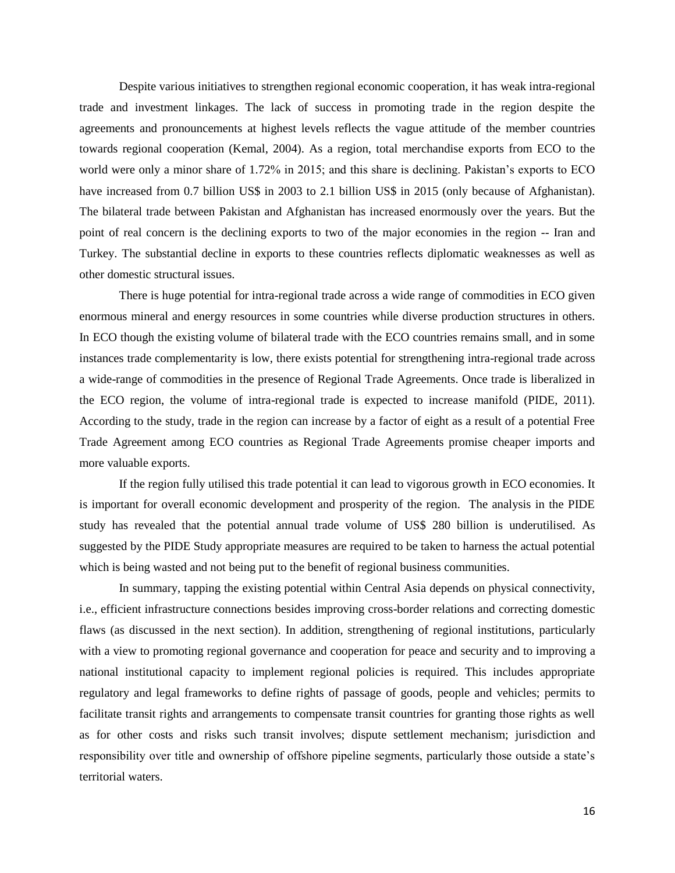Despite various initiatives to strengthen regional economic cooperation, it has weak intra-regional trade and investment linkages. The lack of success in promoting trade in the region despite the agreements and pronouncements at highest levels reflects the vague attitude of the member countries towards regional cooperation (Kemal, 2004). As a region, total merchandise exports from ECO to the world were only a minor share of 1.72% in 2015; and this share is declining. Pakistan's exports to ECO have increased from 0.7 billion US\$ in 2003 to 2.1 billion US\$ in 2015 (only because of Afghanistan). The bilateral trade between Pakistan and Afghanistan has increased enormously over the years. But the point of real concern is the declining exports to two of the major economies in the region -- Iran and Turkey. The substantial decline in exports to these countries reflects diplomatic weaknesses as well as other domestic structural issues.

There is huge potential for intra-regional trade across a wide range of commodities in ECO given enormous mineral and energy resources in some countries while diverse production structures in others. In ECO though the existing volume of bilateral trade with the ECO countries remains small, and in some instances trade complementarity is low, there exists potential for strengthening intra-regional trade across a wide-range of commodities in the presence of Regional Trade Agreements. Once trade is liberalized in the ECO region, the volume of intra-regional trade is expected to increase manifold (PIDE, 2011). According to the study, trade in the region can increase by a factor of eight as a result of a potential Free Trade Agreement among ECO countries as Regional Trade Agreements promise cheaper imports and more valuable exports.

If the region fully utilised this trade potential it can lead to vigorous growth in ECO economies. It is important for overall economic development and prosperity of the region. The analysis in the PIDE study has revealed that the potential annual trade volume of US\$ 280 billion is underutilised. As suggested by the PIDE Study appropriate measures are required to be taken to harness the actual potential which is being wasted and not being put to the benefit of regional business communities.

In summary, tapping the existing potential within Central Asia depends on physical connectivity, i.e., efficient infrastructure connections besides improving cross-border relations and correcting domestic flaws (as discussed in the next section). In addition, strengthening of regional institutions, particularly with a view to promoting regional governance and cooperation for peace and security and to improving a national institutional capacity to implement regional policies is required. This includes appropriate regulatory and legal frameworks to define rights of passage of goods, people and vehicles; permits to facilitate transit rights and arrangements to compensate transit countries for granting those rights as well as for other costs and risks such transit involves; dispute settlement mechanism; jurisdiction and responsibility over title and ownership of offshore pipeline segments, particularly those outside a state's territorial waters.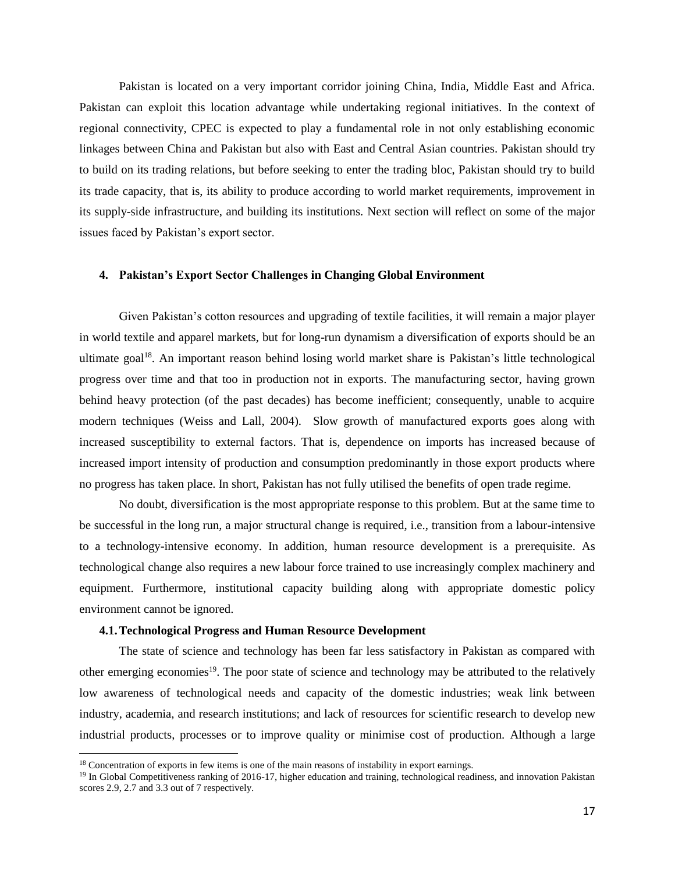Pakistan is located on a very important corridor joining China, India, Middle East and Africa. Pakistan can exploit this location advantage while undertaking regional initiatives. In the context of regional connectivity, CPEC is expected to play a fundamental role in not only establishing economic linkages between China and Pakistan but also with East and Central Asian countries. Pakistan should try to build on its trading relations, but before seeking to enter the trading bloc, Pakistan should try to build its trade capacity, that is, its ability to produce according to world market requirements, improvement in its supply-side infrastructure, and building its institutions. Next section will reflect on some of the major issues faced by Pakistan's export sector.

# **4. Pakistan's Export Sector Challenges in Changing Global Environment**

Given Pakistan's cotton resources and upgrading of textile facilities, it will remain a major player in world textile and apparel markets, but for long-run dynamism a diversification of exports should be an ultimate goal<sup>18</sup>. An important reason behind losing world market share is Pakistan's little technological progress over time and that too in production not in exports. The manufacturing sector, having grown behind heavy protection (of the past decades) has become inefficient; consequently, unable to acquire modern techniques (Weiss and Lall, 2004). Slow growth of manufactured exports goes along with increased susceptibility to external factors. That is, dependence on imports has increased because of increased import intensity of production and consumption predominantly in those export products where no progress has taken place. In short, Pakistan has not fully utilised the benefits of open trade regime.

No doubt, diversification is the most appropriate response to this problem. But at the same time to be successful in the long run, a major structural change is required, i.e., transition from a labour-intensive to a technology-intensive economy. In addition, human resource development is a prerequisite. As technological change also requires a new labour force trained to use increasingly complex machinery and equipment. Furthermore, institutional capacity building along with appropriate domestic policy environment cannot be ignored.

## **4.1.Technological Progress and Human Resource Development**

The state of science and technology has been far less satisfactory in Pakistan as compared with other emerging economies<sup>19</sup>. The poor state of science and technology may be attributed to the relatively low awareness of technological needs and capacity of the domestic industries; weak link between industry, academia, and research institutions; and lack of resources for scientific research to develop new industrial products, processes or to improve quality or minimise cost of production. Although a large

l

<sup>&</sup>lt;sup>18</sup> Concentration of exports in few items is one of the main reasons of instability in export earnings.

<sup>&</sup>lt;sup>19</sup> In Global Competitiveness ranking of 2016-17, higher education and training, technological readiness, and innovation Pakistan scores 2.9, 2.7 and 3.3 out of 7 respectively.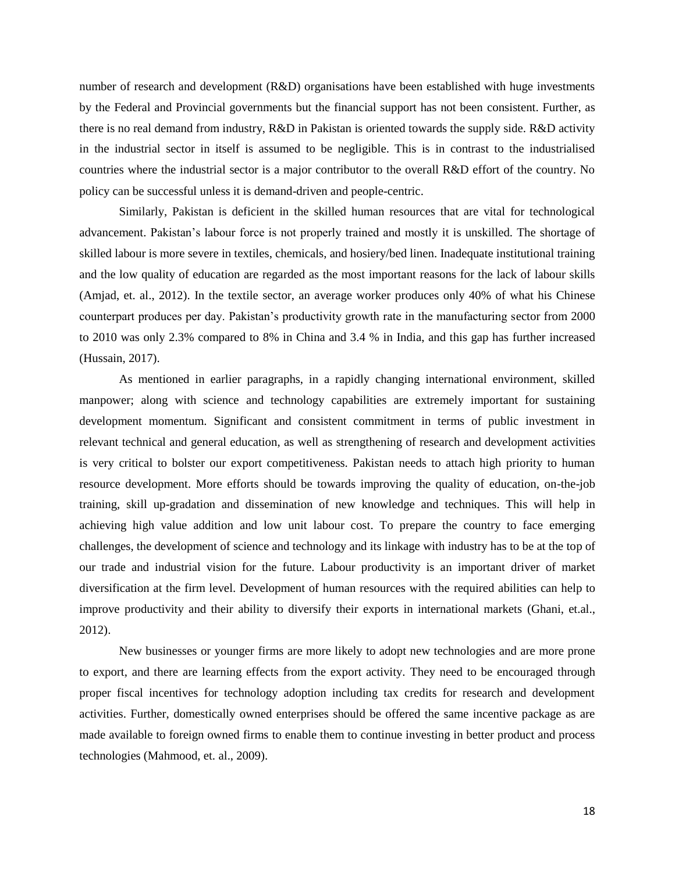number of research and development (R&D) organisations have been established with huge investments by the Federal and Provincial governments but the financial support has not been consistent. Further, as there is no real demand from industry, R&D in Pakistan is oriented towards the supply side. R&D activity in the industrial sector in itself is assumed to be negligible. This is in contrast to the industrialised countries where the industrial sector is a major contributor to the overall R&D effort of the country. No policy can be successful unless it is demand-driven and people-centric.

Similarly, Pakistan is deficient in the skilled human resources that are vital for technological advancement. Pakistan's labour force is not properly trained and mostly it is unskilled. The shortage of skilled labour is more severe in textiles, chemicals, and hosiery/bed linen. Inadequate institutional training and the low quality of education are regarded as the most important reasons for the lack of labour skills (Amjad, et. al., 2012). In the textile sector, an average worker produces only 40% of what his Chinese counterpart produces per day. Pakistan's productivity growth rate in the manufacturing sector from 2000 to 2010 was only 2.3% compared to 8% in China and 3.4 % in India, and this gap has further increased (Hussain, 2017).

As mentioned in earlier paragraphs, in a rapidly changing international environment, skilled manpower; along with science and technology capabilities are extremely important for sustaining development momentum. Significant and consistent commitment in terms of public investment in relevant technical and general education, as well as strengthening of research and development activities is very critical to bolster our export competitiveness. Pakistan needs to attach high priority to human resource development. More efforts should be towards improving the quality of education, on-the-job training, skill up-gradation and dissemination of new knowledge and techniques. This will help in achieving high value addition and low unit labour cost. To prepare the country to face emerging challenges, the development of science and technology and its linkage with industry has to be at the top of our trade and industrial vision for the future. Labour productivity is an important driver of market diversification at the firm level. Development of human resources with the required abilities can help to improve productivity and their ability to diversify their exports in international markets (Ghani, et.al., 2012).

New businesses or younger firms are more likely to adopt new technologies and are more prone to export, and there are learning effects from the export activity. They need to be encouraged through proper fiscal incentives for technology adoption including tax credits for research and development activities. Further, domestically owned enterprises should be offered the same incentive package as are made available to foreign owned firms to enable them to continue investing in better product and process technologies (Mahmood, et. al., 2009).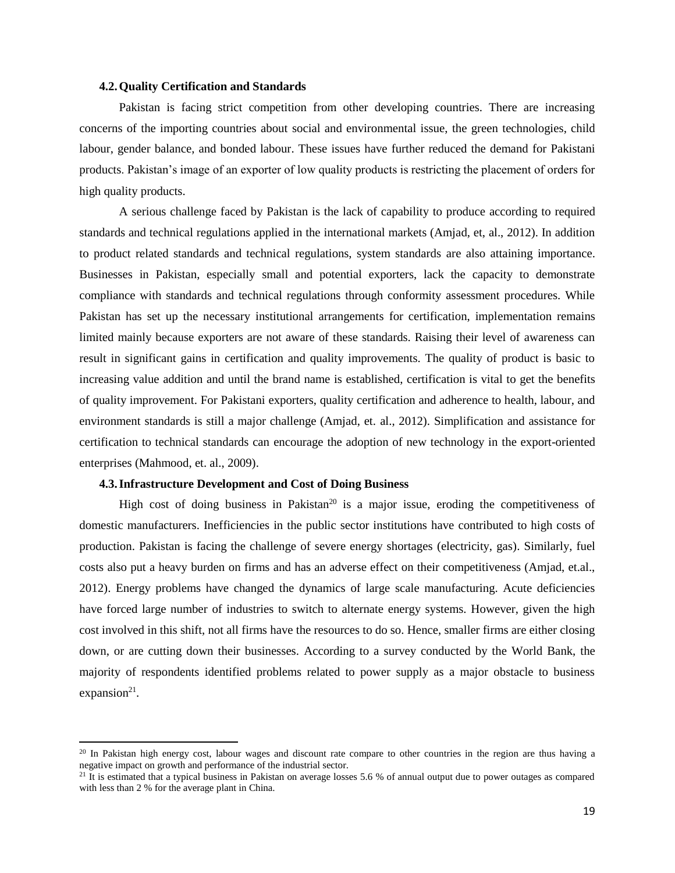## **4.2.Quality Certification and Standards**

Pakistan is facing strict competition from other developing countries. There are increasing concerns of the importing countries about social and environmental issue, the green technologies, child labour, gender balance, and bonded labour. These issues have further reduced the demand for Pakistani products. Pakistan's image of an exporter of low quality products is restricting the placement of orders for high quality products.

A serious challenge faced by Pakistan is the lack of capability to produce according to required standards and technical regulations applied in the international markets (Amjad, et, al., 2012). In addition to product related standards and technical regulations, system standards are also attaining importance. Businesses in Pakistan, especially small and potential exporters, lack the capacity to demonstrate compliance with standards and technical regulations through conformity assessment procedures. While Pakistan has set up the necessary institutional arrangements for certification, implementation remains limited mainly because exporters are not aware of these standards. Raising their level of awareness can result in significant gains in certification and quality improvements. The quality of product is basic to increasing value addition and until the brand name is established, certification is vital to get the benefits of quality improvement. For Pakistani exporters, quality certification and adherence to health, labour, and environment standards is still a major challenge (Amjad, et. al., 2012). Simplification and assistance for certification to technical standards can encourage the adoption of new technology in the export-oriented enterprises (Mahmood, et. al., 2009).

## **4.3.Infrastructure Development and Cost of Doing Business**

 $\overline{\phantom{a}}$ 

High cost of doing business in Pakistan<sup>20</sup> is a major issue, eroding the competitiveness of domestic manufacturers. Inefficiencies in the public sector institutions have contributed to high costs of production. Pakistan is facing the challenge of severe energy shortages (electricity, gas). Similarly, fuel costs also put a heavy burden on firms and has an adverse effect on their competitiveness (Amjad, et.al., 2012). Energy problems have changed the dynamics of large scale manufacturing. Acute deficiencies have forced large number of industries to switch to alternate energy systems. However, given the high cost involved in this shift, not all firms have the resources to do so. Hence, smaller firms are either closing down, or are cutting down their businesses. According to a survey conducted by the World Bank, the majority of respondents identified problems related to power supply as a major obstacle to business  $expansion<sup>21</sup>$ .

<sup>&</sup>lt;sup>20</sup> In Pakistan high energy cost, labour wages and discount rate compare to other countries in the region are thus having a negative impact on growth and performance of the industrial sector.

<sup>&</sup>lt;sup>21</sup> It is estimated that a typical business in Pakistan on average losses 5.6 % of annual output due to power outages as compared with less than 2 % for the average plant in China.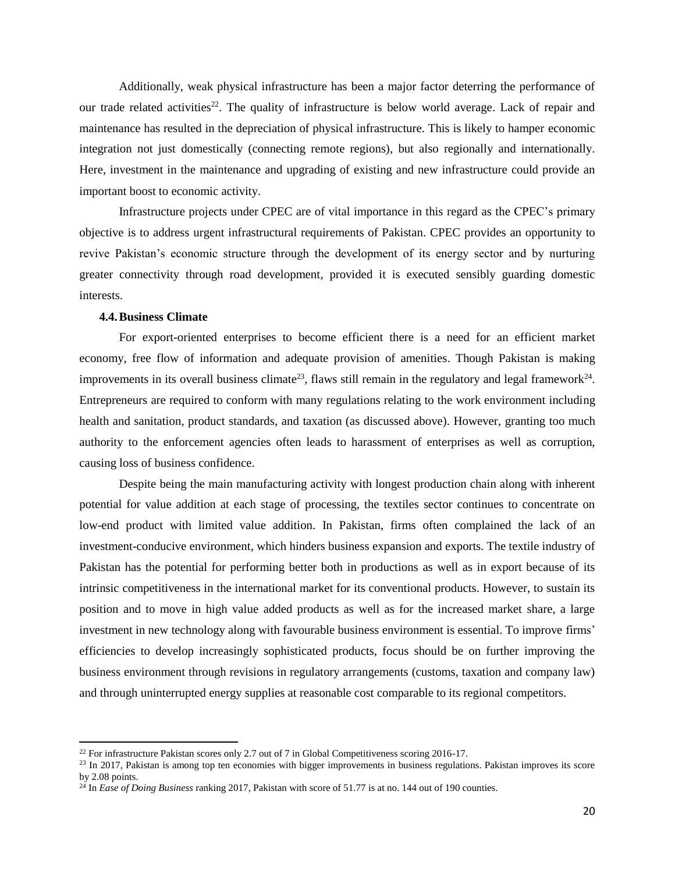Additionally, weak physical infrastructure has been a major factor deterring the performance of our trade related activities<sup>22</sup>. The quality of infrastructure is below world average. Lack of repair and maintenance has resulted in the depreciation of physical infrastructure. This is likely to hamper economic integration not just domestically (connecting remote regions), but also regionally and internationally. Here, investment in the maintenance and upgrading of existing and new infrastructure could provide an important boost to economic activity.

Infrastructure projects under CPEC are of vital importance in this regard as the CPEC's primary objective is to address urgent infrastructural requirements of Pakistan. CPEC provides an opportunity to revive Pakistan's economic structure through the development of its energy sector and by nurturing greater connectivity through road development, provided it is executed sensibly guarding domestic interests.

## **4.4.Business Climate**

 $\overline{\phantom{a}}$ 

For export-oriented enterprises to become efficient there is a need for an efficient market economy, free flow of information and adequate provision of amenities. Though Pakistan is making improvements in its overall business climate<sup>23</sup>, flaws still remain in the regulatory and legal framework<sup>24</sup>. Entrepreneurs are required to conform with many regulations relating to the work environment including health and sanitation, product standards, and taxation (as discussed above). However, granting too much authority to the enforcement agencies often leads to harassment of enterprises as well as corruption, causing loss of business confidence.

Despite being the main manufacturing activity with longest production chain along with inherent potential for value addition at each stage of processing, the textiles sector continues to concentrate on low-end product with limited value addition. In Pakistan, firms often complained the lack of an investment-conducive environment, which hinders business expansion and exports. The textile industry of Pakistan has the potential for performing better both in productions as well as in export because of its intrinsic competitiveness in the international market for its conventional products. However, to sustain its position and to move in high value added products as well as for the increased market share, a large investment in new technology along with favourable business environment is essential. To improve firms' efficiencies to develop increasingly sophisticated products, focus should be on further improving the business environment through revisions in regulatory arrangements (customs, taxation and company law) and through uninterrupted energy supplies at reasonable cost comparable to its regional competitors.

<sup>&</sup>lt;sup>22</sup> For infrastructure Pakistan scores only 2.7 out of 7 in Global Competitiveness scoring 2016-17.

<sup>&</sup>lt;sup>23</sup> In 2017, Pakistan is among top ten economies with bigger improvements in business regulations. Pakistan improves its score by 2.08 points.

<sup>&</sup>lt;sup>24</sup> In *Ease of Doing Business* ranking 2017, Pakistan with score of 51.77 is at no. 144 out of 190 counties.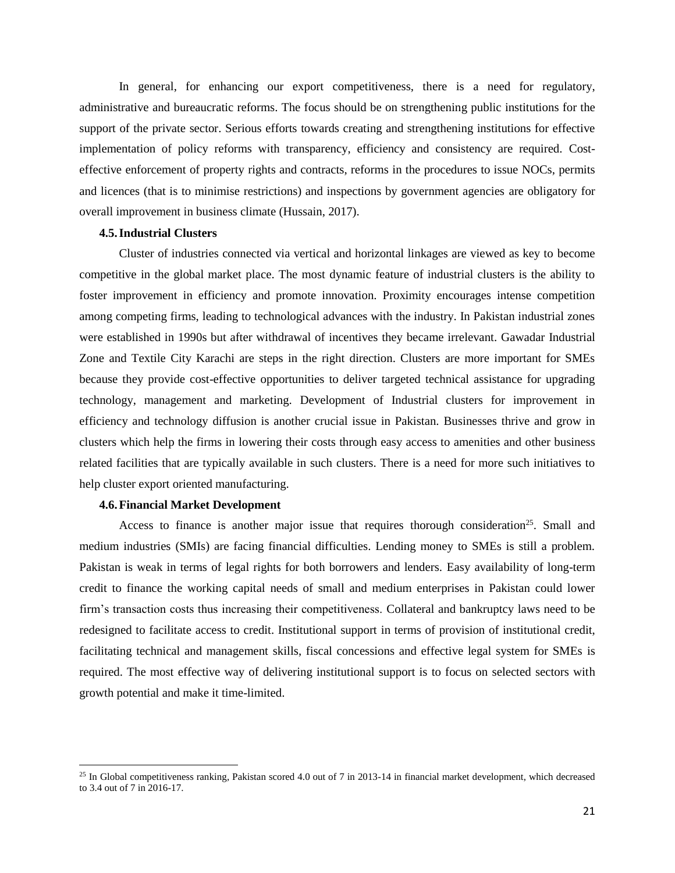In general, for enhancing our export competitiveness, there is a need for regulatory, administrative and bureaucratic reforms. The focus should be on strengthening public institutions for the support of the private sector. Serious efforts towards creating and strengthening institutions for effective implementation of policy reforms with transparency, efficiency and consistency are required. Costeffective enforcement of property rights and contracts, reforms in the procedures to issue NOCs, permits and licences (that is to minimise restrictions) and inspections by government agencies are obligatory for overall improvement in business climate (Hussain, 2017).

#### **4.5.Industrial Clusters**

Cluster of industries connected via vertical and horizontal linkages are viewed as key to become competitive in the global market place. The most dynamic feature of industrial clusters is the ability to foster improvement in efficiency and promote innovation. Proximity encourages intense competition among competing firms, leading to technological advances with the industry. In Pakistan industrial zones were established in 1990s but after withdrawal of incentives they became irrelevant. Gawadar Industrial Zone and Textile City Karachi are steps in the right direction. Clusters are more important for SMEs because they provide cost-effective opportunities to deliver targeted technical assistance for upgrading technology, management and marketing. Development of Industrial clusters for improvement in efficiency and technology diffusion is another crucial issue in Pakistan. Businesses thrive and grow in clusters which help the firms in lowering their costs through easy access to amenities and other business related facilities that are typically available in such clusters. There is a need for more such initiatives to help cluster export oriented manufacturing.

#### **4.6.Financial Market Development**

 $\overline{a}$ 

Access to finance is another major issue that requires thorough consideration<sup>25</sup>. Small and medium industries (SMIs) are facing financial difficulties. Lending money to SMEs is still a problem. Pakistan is weak in terms of legal rights for both borrowers and lenders. Easy availability of long-term credit to finance the working capital needs of small and medium enterprises in Pakistan could lower firm's transaction costs thus increasing their competitiveness. Collateral and bankruptcy laws need to be redesigned to facilitate access to credit. Institutional support in terms of provision of institutional credit, facilitating technical and management skills, fiscal concessions and effective legal system for SMEs is required. The most effective way of delivering institutional support is to focus on selected sectors with growth potential and make it time-limited.

 $25$  In Global competitiveness ranking, Pakistan scored 4.0 out of 7 in 2013-14 in financial market development, which decreased to 3.4 out of 7 in 2016-17.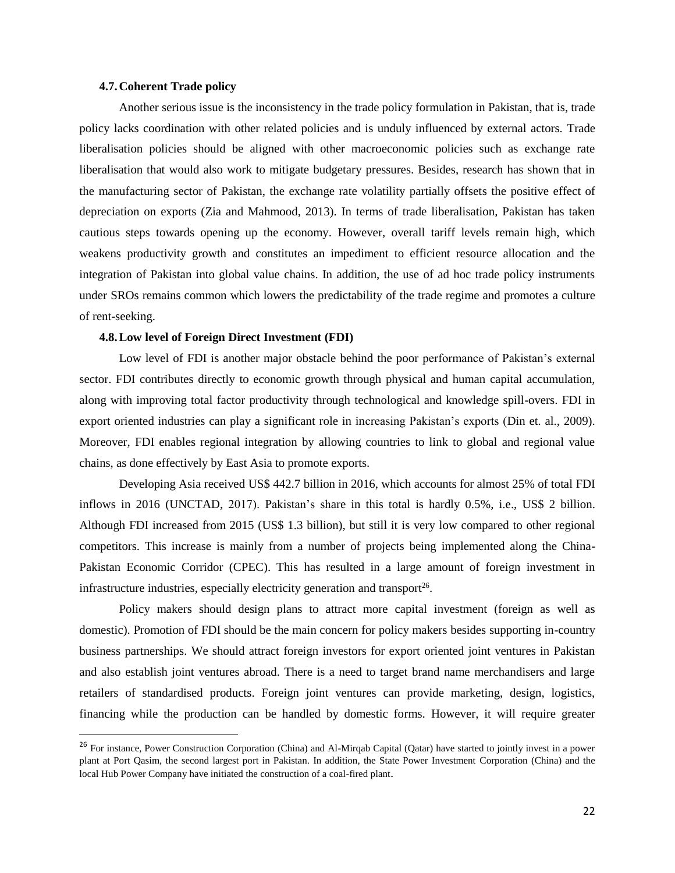## **4.7.Coherent Trade policy**

 $\overline{\phantom{a}}$ 

Another serious issue is the inconsistency in the trade policy formulation in Pakistan, that is, trade policy lacks coordination with other related policies and is unduly influenced by external actors. Trade liberalisation policies should be aligned with other macroeconomic policies such as exchange rate liberalisation that would also work to mitigate budgetary pressures. Besides, research has shown that in the manufacturing sector of Pakistan, the exchange rate volatility partially offsets the positive effect of depreciation on exports (Zia and Mahmood, 2013). In terms of trade liberalisation, Pakistan has taken cautious steps towards opening up the economy. However, overall tariff levels remain high, which weakens productivity growth and constitutes an impediment to efficient resource allocation and the integration of Pakistan into global value chains. In addition, the use of ad hoc trade policy instruments under SROs remains common which lowers the predictability of the trade regime and promotes a culture of rent-seeking.

## **4.8.Low level of Foreign Direct Investment (FDI)**

Low level of FDI is another major obstacle behind the poor performance of Pakistan's external sector. FDI contributes directly to economic growth through physical and human capital accumulation, along with improving total factor productivity through technological and knowledge spill-overs. FDI in export oriented industries can play a significant role in increasing Pakistan's exports (Din et. al., 2009). Moreover, FDI enables regional integration by allowing countries to link to global and regional value chains, as done effectively by East Asia to promote exports.

Developing Asia received US\$ 442.7 billion in 2016, which accounts for almost 25% of total FDI inflows in 2016 (UNCTAD, 2017). Pakistan's share in this total is hardly 0.5%, i.e., US\$ 2 billion. Although FDI increased from 2015 (US\$ 1.3 billion), but still it is very low compared to other regional competitors. This increase is mainly from a number of projects being implemented along the China-Pakistan Economic Corridor (CPEC). This has resulted in a large amount of foreign investment in infrastructure industries, especially electricity generation and transport $26$ .

Policy makers should design plans to attract more capital investment (foreign as well as domestic). Promotion of FDI should be the main concern for policy makers besides supporting in-country business partnerships. We should attract foreign investors for export oriented joint ventures in Pakistan and also establish joint ventures abroad. There is a need to target brand name merchandisers and large retailers of standardised products. Foreign joint ventures can provide marketing, design, logistics, financing while the production can be handled by domestic forms. However, it will require greater

<sup>&</sup>lt;sup>26</sup> For instance, Power Construction Corporation (China) and Al-Mirqab Capital (Qatar) have started to jointly invest in a power plant at Port Qasim, the second largest port in Pakistan. In addition, the State Power Investment Corporation (China) and the local Hub Power Company have initiated the construction of a coal-fired plant.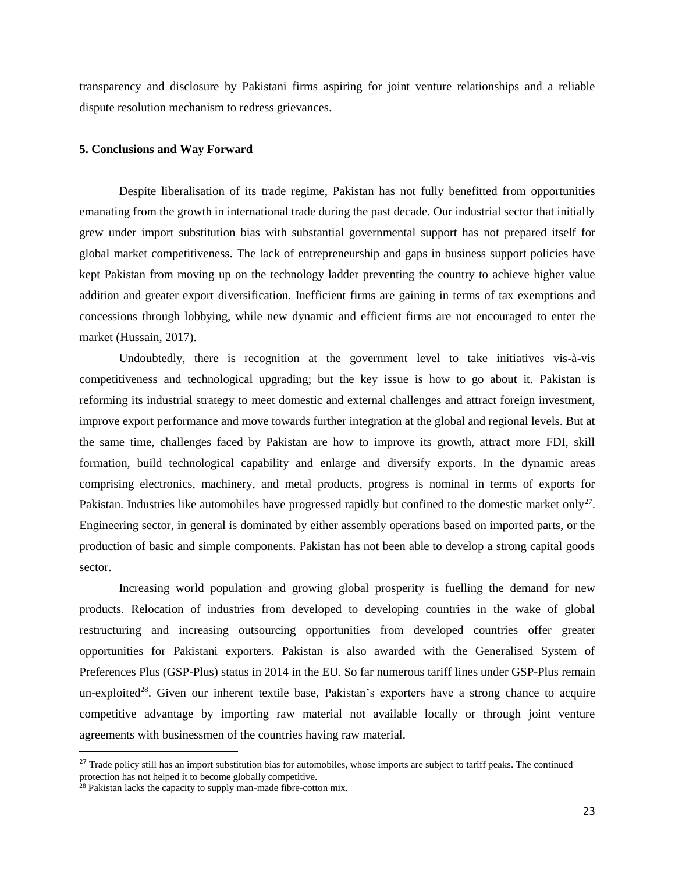transparency and disclosure by Pakistani firms aspiring for joint venture relationships and a reliable dispute resolution mechanism to redress grievances.

## **5. Conclusions and Way Forward**

Despite liberalisation of its trade regime, Pakistan has not fully benefitted from opportunities emanating from the growth in international trade during the past decade. Our industrial sector that initially grew under import substitution bias with substantial governmental support has not prepared itself for global market competitiveness. The lack of entrepreneurship and gaps in business support policies have kept Pakistan from moving up on the technology ladder preventing the country to achieve higher value addition and greater export diversification. Inefficient firms are gaining in terms of tax exemptions and concessions through lobbying, while new dynamic and efficient firms are not encouraged to enter the market (Hussain, 2017).

Undoubtedly, there is recognition at the government level to take initiatives vis-à-vis competitiveness and technological upgrading; but the key issue is how to go about it. Pakistan is reforming its industrial strategy to meet domestic and external challenges and attract foreign investment, improve export performance and move towards further integration at the global and regional levels. But at the same time, challenges faced by Pakistan are how to improve its growth, attract more FDI, skill formation, build technological capability and enlarge and diversify exports. In the dynamic areas comprising electronics, machinery, and metal products, progress is nominal in terms of exports for Pakistan. Industries like automobiles have progressed rapidly but confined to the domestic market only<sup>27</sup>. Engineering sector, in general is dominated by either assembly operations based on imported parts, or the production of basic and simple components. Pakistan has not been able to develop a strong capital goods sector.

Increasing world population and growing global prosperity is fuelling the demand for new products. Relocation of industries from developed to developing countries in the wake of global restructuring and increasing outsourcing opportunities from developed countries offer greater opportunities for Pakistani exporters. Pakistan is also awarded with the Generalised System of Preferences Plus (GSP-Plus) status in 2014 in the EU. So far numerous tariff lines under GSP-Plus remain un-exploited<sup>28</sup>. Given our inherent textile base, Pakistan's exporters have a strong chance to acquire competitive advantage by importing raw material not available locally or through joint venture agreements with businessmen of the countries having raw material.

 $\overline{\phantom{a}}$ 

<sup>&</sup>lt;sup>27</sup> Trade policy still has an import substitution bias for automobiles, whose imports are subject to tariff peaks. The continued protection has not helped it to become globally competitive.

 $28$  Pakistan lacks the capacity to supply man-made fibre-cotton mix.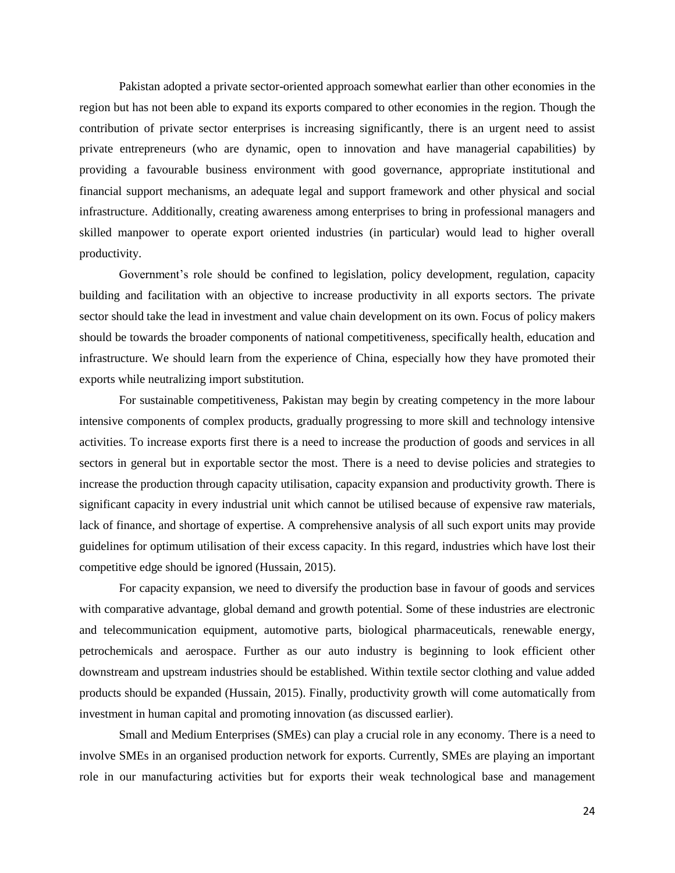Pakistan adopted a private sector-oriented approach somewhat earlier than other economies in the region but has not been able to expand its exports compared to other economies in the region. Though the contribution of private sector enterprises is increasing significantly, there is an urgent need to assist private entrepreneurs (who are dynamic, open to innovation and have managerial capabilities) by providing a favourable business environment with good governance, appropriate institutional and financial support mechanisms, an adequate legal and support framework and other physical and social infrastructure. Additionally, creating awareness among enterprises to bring in professional managers and skilled manpower to operate export oriented industries (in particular) would lead to higher overall productivity.

Government's role should be confined to legislation, policy development, regulation, capacity building and facilitation with an objective to increase productivity in all exports sectors. The private sector should take the lead in investment and value chain development on its own. Focus of policy makers should be towards the broader components of national competitiveness, specifically health, education and infrastructure. We should learn from the experience of China, especially how they have promoted their exports while neutralizing import substitution.

For sustainable competitiveness, Pakistan may begin by creating competency in the more labour intensive components of complex products, gradually progressing to more skill and technology intensive activities. To increase exports first there is a need to increase the production of goods and services in all sectors in general but in exportable sector the most. There is a need to devise policies and strategies to increase the production through capacity utilisation, capacity expansion and productivity growth. There is significant capacity in every industrial unit which cannot be utilised because of expensive raw materials, lack of finance, and shortage of expertise. A comprehensive analysis of all such export units may provide guidelines for optimum utilisation of their excess capacity. In this regard, industries which have lost their competitive edge should be ignored (Hussain, 2015).

For capacity expansion, we need to diversify the production base in favour of goods and services with comparative advantage, global demand and growth potential. Some of these industries are electronic and telecommunication equipment, automotive parts, biological pharmaceuticals, renewable energy, petrochemicals and aerospace. Further as our auto industry is beginning to look efficient other downstream and upstream industries should be established. Within textile sector clothing and value added products should be expanded (Hussain, 2015). Finally, productivity growth will come automatically from investment in human capital and promoting innovation (as discussed earlier).

Small and Medium Enterprises (SMEs) can play a crucial role in any economy. There is a need to involve SMEs in an organised production network for exports. Currently, SMEs are playing an important role in our manufacturing activities but for exports their weak technological base and management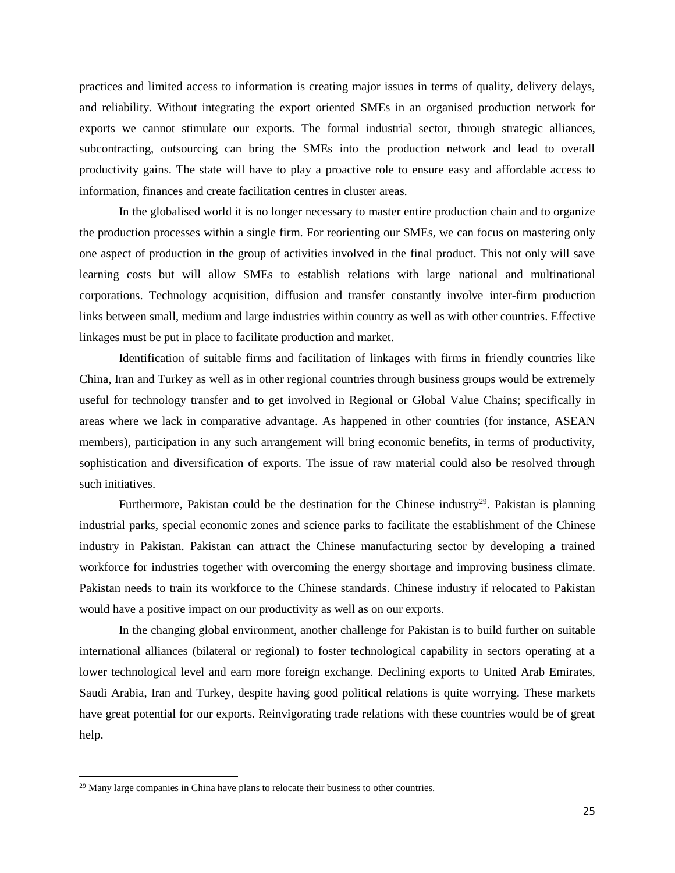practices and limited access to information is creating major issues in terms of quality, delivery delays, and reliability. Without integrating the export oriented SMEs in an organised production network for exports we cannot stimulate our exports. The formal industrial sector, through strategic alliances, subcontracting, outsourcing can bring the SMEs into the production network and lead to overall productivity gains. The state will have to play a proactive role to ensure easy and affordable access to information, finances and create facilitation centres in cluster areas.

In the globalised world it is no longer necessary to master entire production chain and to organize the production processes within a single firm. For reorienting our SMEs, we can focus on mastering only one aspect of production in the group of activities involved in the final product. This not only will save learning costs but will allow SMEs to establish relations with large national and multinational corporations. Technology acquisition, diffusion and transfer constantly involve inter-firm production links between small, medium and large industries within country as well as with other countries. Effective linkages must be put in place to facilitate production and market.

Identification of suitable firms and facilitation of linkages with firms in friendly countries like China, Iran and Turkey as well as in other regional countries through business groups would be extremely useful for technology transfer and to get involved in Regional or Global Value Chains; specifically in areas where we lack in comparative advantage. As happened in other countries (for instance, ASEAN members), participation in any such arrangement will bring economic benefits, in terms of productivity, sophistication and diversification of exports. The issue of raw material could also be resolved through such initiatives.

Furthermore, Pakistan could be the destination for the Chinese industry<sup>29</sup>. Pakistan is planning industrial parks, special economic zones and science parks to facilitate the establishment of the Chinese industry in Pakistan. Pakistan can attract the Chinese manufacturing sector by developing a trained workforce for industries together with overcoming the energy shortage and improving business climate. Pakistan needs to train its workforce to the Chinese standards. Chinese industry if relocated to Pakistan would have a positive impact on our productivity as well as on our exports.

In the changing global environment, another challenge for Pakistan is to build further on suitable international alliances (bilateral or regional) to foster technological capability in sectors operating at a lower technological level and earn more foreign exchange. Declining exports to United Arab Emirates, Saudi Arabia, Iran and Turkey, despite having good political relations is quite worrying. These markets have great potential for our exports. Reinvigorating trade relations with these countries would be of great help.

 $\overline{\phantom{a}}$ 

<sup>&</sup>lt;sup>29</sup> Many large companies in China have plans to relocate their business to other countries.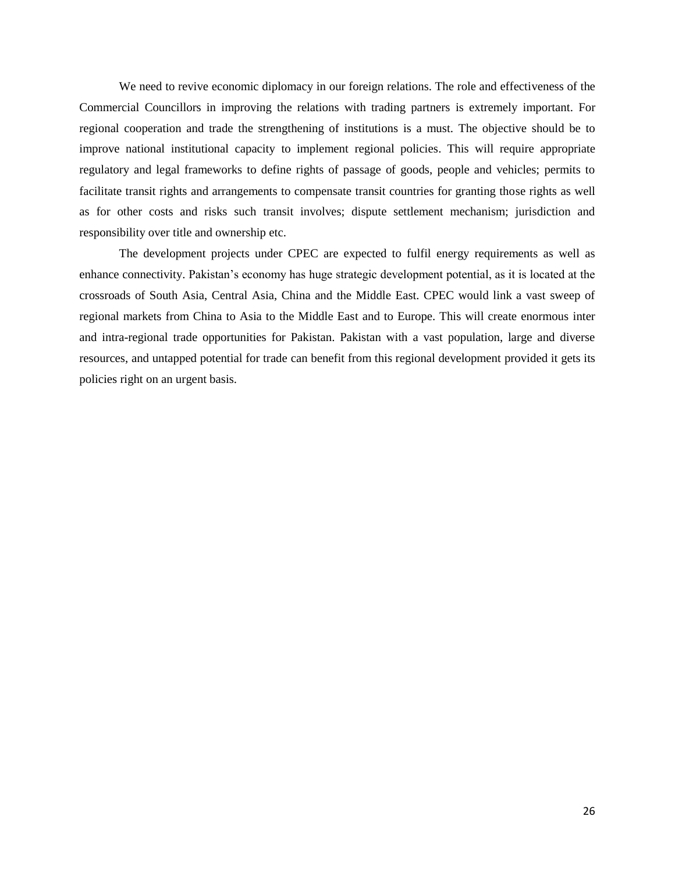We need to revive economic diplomacy in our foreign relations. The role and effectiveness of the Commercial Councillors in improving the relations with trading partners is extremely important. For regional cooperation and trade the strengthening of institutions is a must. The objective should be to improve national institutional capacity to implement regional policies. This will require appropriate regulatory and legal frameworks to define rights of passage of goods, people and vehicles; permits to facilitate transit rights and arrangements to compensate transit countries for granting those rights as well as for other costs and risks such transit involves; dispute settlement mechanism; jurisdiction and responsibility over title and ownership etc.

The development projects under CPEC are expected to fulfil energy requirements as well as enhance connectivity. Pakistan's economy has huge strategic development potential, as it is located at the crossroads of South Asia, Central Asia, China and the Middle East. CPEC would link a vast sweep of regional markets from China to Asia to the Middle East and to Europe. This will create enormous inter and intra-regional trade opportunities for Pakistan. Pakistan with a vast population, large and diverse resources, and untapped potential for trade can benefit from this regional development provided it gets its policies right on an urgent basis.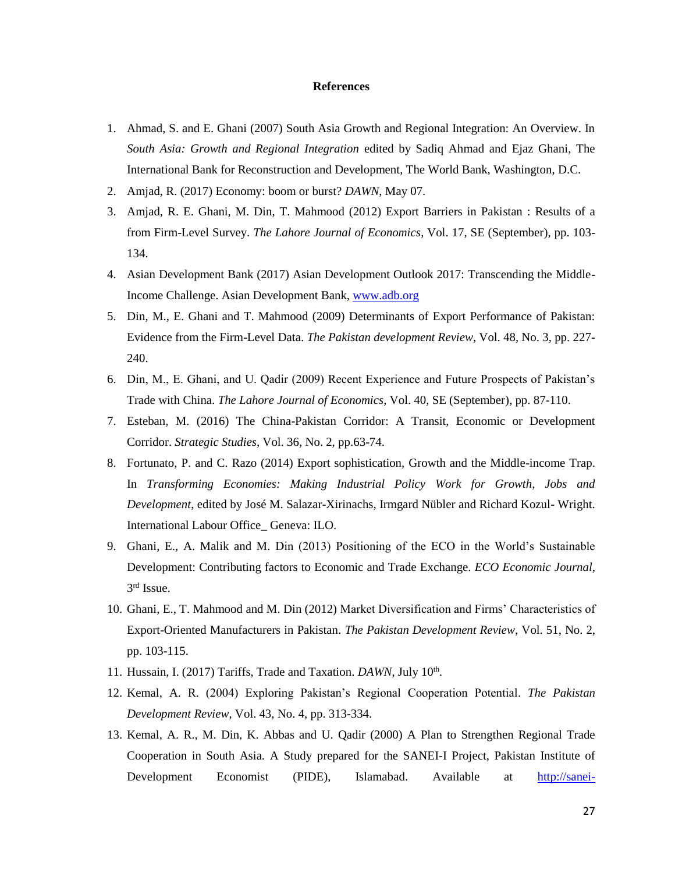## **References**

- 1. Ahmad, S. and E. Ghani (2007) South Asia Growth and Regional Integration: An Overview. In *South Asia: Growth and Regional Integration* edited by Sadiq Ahmad and Ejaz Ghani, The International Bank for Reconstruction and Development, The World Bank, Washington, D.C.
- 2. Amjad, R. (2017) Economy: boom or burst? *DAWN*, May 07.
- 3. Amjad, R. E. Ghani, M. Din, T. Mahmood (2012) Export Barriers in Pakistan : Results of a from Firm-Level Survey. *The Lahore Journal of Economics*, Vol. 17, SE (September), pp. 103- 134.
- 4. Asian Development Bank (2017) Asian Development Outlook 2017: Transcending the Middle-Income Challenge. Asian Development Bank, [www.adb.org](http://www.adb.org/)
- 5. Din, M., E. Ghani and T. Mahmood (2009) Determinants of Export Performance of Pakistan: Evidence from the Firm-Level Data. *The Pakistan development Review*, Vol. 48, No. 3, pp. 227- 240.
- 6. Din, M., E. Ghani, and U. Qadir (2009) Recent Experience and Future Prospects of Pakistan's Trade with China. *The Lahore Journal of Economics*, Vol. 40, SE (September), pp. 87-110.
- 7. Esteban, M. (2016) The China-Pakistan Corridor: A Transit, Economic or Development Corridor. *Strategic Studies*, Vol. 36, No. 2, pp.63-74.
- 8. Fortunato, P. and C. Razo (2014) Export sophistication, Growth and the Middle-income Trap. In *Transforming Economies: Making Industrial Policy Work for Growth, Jobs and Development*, edited by José M. Salazar-Xirinachs, Irmgard Nübler and Richard Kozul- Wright. International Labour Office\_ Geneva: ILO.
- 9. Ghani, E., A. Malik and M. Din (2013) Positioning of the ECO in the World's Sustainable Development: Contributing factors to Economic and Trade Exchange. *ECO Economic Journal*, 3 rd Issue.
- 10. Ghani, E., T. Mahmood and M. Din (2012) Market Diversification and Firms' Characteristics of Export-Oriented Manufacturers in Pakistan. *The Pakistan Development Review*, Vol. 51, No. 2, pp. 103-115.
- 11. Hussain, I. (2017) Tariffs, Trade and Taxation. *DAWN*, July 10<sup>th</sup>.
- 12. Kemal, A. R. (2004) Exploring Pakistan's Regional Cooperation Potential. *The Pakistan Development Review*, Vol. 43, No. 4, pp. 313-334.
- 13. Kemal, A. R., M. Din, K. Abbas and U. Qadir (2000) A Plan to Strengthen Regional Trade Cooperation in South Asia. A Study prepared for the SANEI-I Project, Pakistan Institute of Development Economist (PIDE), Islamabad. Available at [http://sanei-](http://sanei-network.net/uploads/research/a-plan-to-strengthen-regional-trade-cooperation-in-south-asia1464082003.PDF)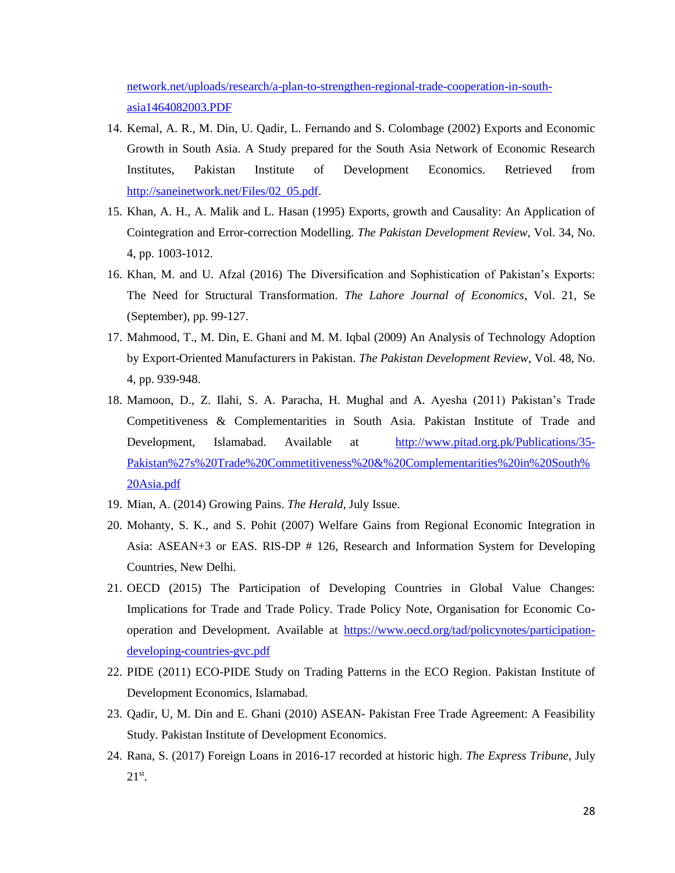[network.net/uploads/research/a-plan-to-strengthen-regional-trade-cooperation-in-south](http://sanei-network.net/uploads/research/a-plan-to-strengthen-regional-trade-cooperation-in-south-asia1464082003.PDF)[asia1464082003.PDF](http://sanei-network.net/uploads/research/a-plan-to-strengthen-regional-trade-cooperation-in-south-asia1464082003.PDF)

- 14. Kemal, A. R., M. Din, U. Qadir, L. Fernando and S. Colombage (2002) Exports and Economic Growth in South Asia. A Study prepared for the South Asia Network of Economic Research Institutes, Pakistan Institute of Development Economics. Retrieved from [http://saneinetwork.net/Files/02\\_05.pdf.](http://saneinetwork.net/Files/02_05.pdf)
- 15. Khan, A. H., A. Malik and L. Hasan (1995) Exports, growth and Causality: An Application of Cointegration and Error-correction Modelling. *The Pakistan Development Review*, Vol. 34, No. 4, pp. 1003-1012.
- 16. Khan, M. and U. Afzal (2016) The Diversification and Sophistication of Pakistan's Exports: The Need for Structural Transformation. *The Lahore Journal of Economics*, Vol. 21, Se (September), pp. 99-127.
- 17. Mahmood, T., M. Din, E. Ghani and M. M. Iqbal (2009) An Analysis of Technology Adoption by Export-Oriented Manufacturers in Pakistan. *The Pakistan Development Review*, Vol. 48, No. 4, pp. 939-948.
- 18. Mamoon, D., Z. Ilahi, S. A. Paracha, H. Mughal and A. Ayesha (2011) Pakistan's Trade Competitiveness & Complementarities in South Asia. Pakistan Institute of Trade and Development, Islamabad. Available at [http://www.pitad.org.pk/Publications/35-](http://www.pitad.org.pk/Publications/35-Pakistan%27s%20Trade%20Commetitiveness%20&%20Complementarities%20in%20South%20Asia.pdf) [Pakistan%27s%20Trade%20Commetitiveness%20&%20Complementarities%20in%20South%](http://www.pitad.org.pk/Publications/35-Pakistan%27s%20Trade%20Commetitiveness%20&%20Complementarities%20in%20South%20Asia.pdf) [20Asia.pdf](http://www.pitad.org.pk/Publications/35-Pakistan%27s%20Trade%20Commetitiveness%20&%20Complementarities%20in%20South%20Asia.pdf)
- 19. Mian, A. (2014) Growing Pains. *The Herald*, July Issue.
- 20. Mohanty, S. K., and S. Pohit (2007) Welfare Gains from Regional Economic Integration in Asia: ASEAN+3 or EAS. RIS-DP # 126, Research and Information System for Developing Countries, New Delhi.
- 21. OECD (2015) The Participation of Developing Countries in Global Value Changes: Implications for Trade and Trade Policy. Trade Policy Note, Organisation for Economic Cooperation and Development. Available at [https://www.oecd.org/tad/policynotes/participation](https://www.oecd.org/tad/policynotes/participation-developing-countries-gvc.pdf)[developing-countries-gvc.pdf](https://www.oecd.org/tad/policynotes/participation-developing-countries-gvc.pdf)
- 22. PIDE (2011) ECO-PIDE Study on Trading Patterns in the ECO Region. Pakistan Institute of Development Economics, Islamabad.
- 23. Qadir, U, M. Din and E. Ghani (2010) ASEAN- Pakistan Free Trade Agreement: A Feasibility Study. Pakistan Institute of Development Economics.
- 24. Rana, S. (2017) Foreign Loans in 2016-17 recorded at historic high. *The Express Tribune*, July  $21<sup>st</sup>$ .